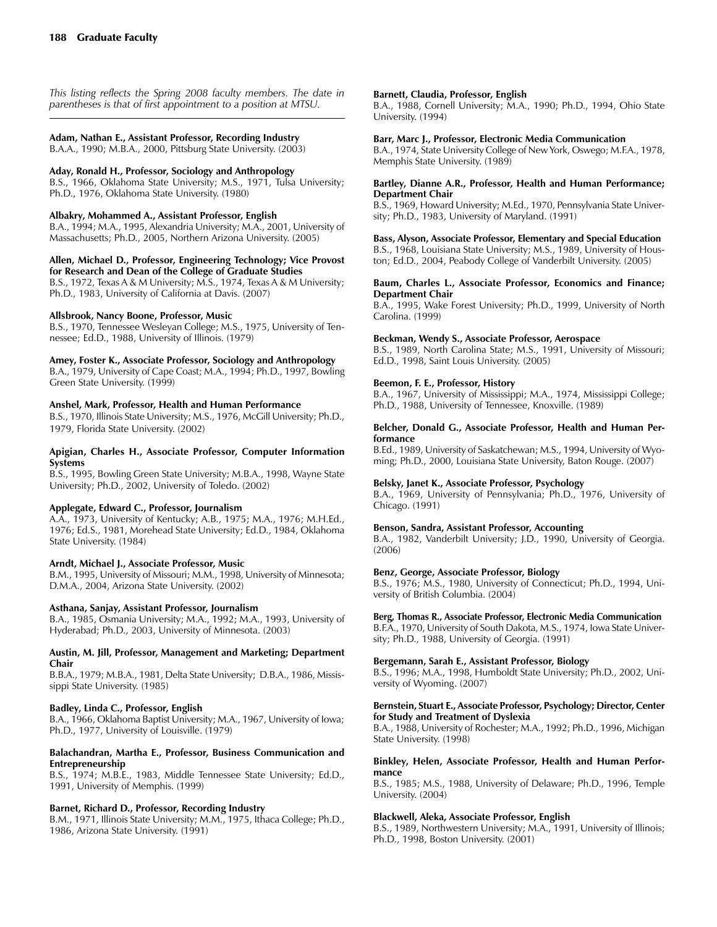*This listing reflects the Spring 2008 faculty members. The date in parentheses is that of first appointment to a position at MTSU.*

### **Adam, Nathan E., Assistant Professor, Recording Industry**

B.A.A., 1990; M.B.A., 2000, Pittsburg State University. (2003)

#### **Aday, Ronald H., Professor, Sociology and Anthropology**

B.S., 1966, Oklahoma State University; M.S., 1971, Tulsa University; Ph.D., 1976, Oklahoma State University. (1980)

#### **Albakry, Mohammed A., Assistant Professor, English**

B.A., 1994; M.A., 1995, Alexandria University; M.A., 2001, University of Massachusetts; Ph.D., 2005, Northern Arizona University. (2005)

#### **Allen, Michael D., Professor, Engineering Technology; Vice Provost for Research and Dean of the College of Graduate Studies**

B.S., 1972, Texas A & M University; M.S., 1974, Texas A & M University; Ph.D., 1983, University of California at Davis. (2007)

#### **Allsbrook, Nancy Boone, Professor, Music**

B.S., 1970, Tennessee Wesleyan College; M.S., 1975, University of Tennessee; Ed.D., 1988, University of Illinois. (1979)

#### **Amey, Foster K., Associate Professor, Sociology and Anthropology**

B.A., 1979, University of Cape Coast; M.A., 1994; Ph.D., 1997, Bowling Green State University. (1999)

#### **Anshel, Mark, Professor, Health and Human Performance**

B.S., 1970, Illinois State University; M.S., 1976, McGill University; Ph.D., 1979, Florida State University. (2002)

#### **Apigian, Charles H., Associate Professor, Computer Information Systems**

B.S., 1995, Bowling Green State University; M.B.A., 1998, Wayne State University; Ph.D., 2002, University of Toledo. (2002)

#### **Applegate, Edward C., Professor, Journalism**

A.A., 1973, University of Kentucky; A.B., 1975; M.A., 1976; M.H.Ed., 1976; Ed.S., 1981, Morehead State University; Ed.D., 1984, Oklahoma State University. (1984)

#### **Arndt, Michael J., Associate Professor, Music**

B.M., 1995, University of Missouri; M.M., 1998, University of Minnesota; D.M.A., 2004, Arizona State University. (2002)

#### **Asthana, Sanjay, Assistant Professor, Journalism**

B.A., 1985, Osmania University; M.A., 1992; M.A., 1993, University of Hyderabad; Ph.D., 2003, University of Minnesota. (2003)

#### **Austin, M. Jill, Professor, Management and Marketing; Department Chair**

B.B.A., 1979; M.B.A., 1981, Delta State University; D.B.A., 1986, Mississippi State University. (1985)

### **Badley, Linda C., Professor, English**

B.A., 1966, Oklahoma Baptist University; M.A., 1967, University of Iowa; Ph.D., 1977, University of Louisville. (1979)

#### **Balachandran, Martha E., Professor, Business Communication and Entrepreneurship**

B.S., 1974; M.B.E., 1983, Middle Tennessee State University; Ed.D., 1991, University of Memphis. (1999)

#### **Barnet, Richard D., Professor, Recording Industry**

B.M., 1971, Illinois State University; M.M., 1975, Ithaca College; Ph.D., 1986, Arizona State University. (1991)

#### **Barnett, Claudia, Professor, English**

B.A., 1988, Cornell University; M.A., 1990; Ph.D., 1994, Ohio State University. (1994)

#### **Barr, Marc J., Professor, Electronic Media Communication**

B.A., 1974, State University College of New York, Oswego; M.F.A., 1978, Memphis State University. (1989)

#### **Bartley, Dianne A.R., Professor, Health and Human Performance; Department Chair**

B.S., 1969, Howard University; M.Ed., 1970, Pennsylvania State University; Ph.D., 1983, University of Maryland. (1991)

**Bass, Alyson, Associate Professor, Elementary and Special Education**

B.S., 1968, Louisiana State University; M.S., 1989, University of Houston; Ed.D., 2004, Peabody College of Vanderbilt University. (2005)

#### **Baum, Charles L., Associate Professor, Economics and Finance; Department Chair**

B.A., 1995, Wake Forest University; Ph.D., 1999, University of North Carolina. (1999)

#### **Beckman, Wendy S., Associate Professor, Aerospace**

B.S., 1989, North Carolina State; M.S., 1991, University of Missouri; Ed.D., 1998, Saint Louis University. (2005)

### **Beemon, F. E., Professor, History**

B.A., 1967, University of Mississippi; M.A., 1974, Mississippi College; Ph.D., 1988, University of Tennessee, Knoxville. (1989)

#### **Belcher, Donald G., Associate Professor, Health and Human Performance**

B.Ed., 1989, University of Saskatchewan; M.S., 1994, University of Wyoming; Ph.D., 2000, Louisiana State University, Baton Rouge. (2007)

#### **Belsky, Janet K., Associate Professor, Psychology**

B.A., 1969, University of Pennsylvania; Ph.D., 1976, University of Chicago. (1991)

#### **Benson, Sandra, Assistant Professor, Accounting**

B.A., 1982, Vanderbilt University; J.D., 1990, University of Georgia. (2006)

#### **Benz, George, Associate Professor, Biology**

B.S., 1976; M.S., 1980, University of Connecticut; Ph.D., 1994, University of British Columbia. (2004)

**Berg, Thomas R., Associate Professor, Electronic Media Communication**

B.F.A., 1970, University of South Dakota, M.S., 1974, Iowa State University; Ph.D., 1988, University of Georgia. (1991)

#### **Bergemann, Sarah E., Assistant Professor, Biology**

B.S., 1996; M.A., 1998, Humboldt State University; Ph.D., 2002, University of Wyoming. (2007)

#### **Bernstein, Stuart E., Associate Professor, Psychology; Director, Center for Study and Treatment of Dyslexia**

B.A., 1988, University of Rochester; M.A., 1992; Ph.D., 1996, Michigan State University. (1998)

### **Binkley, Helen, Associate Professor, Health and Human Performance**

B.S., 1985; M.S., 1988, University of Delaware; Ph.D., 1996, Temple University. (2004)

#### **Blackwell, Aleka, Associate Professor, English**

B.S., 1989, Northwestern University; M.A., 1991, University of Illinois; Ph.D., 1998, Boston University. (2001)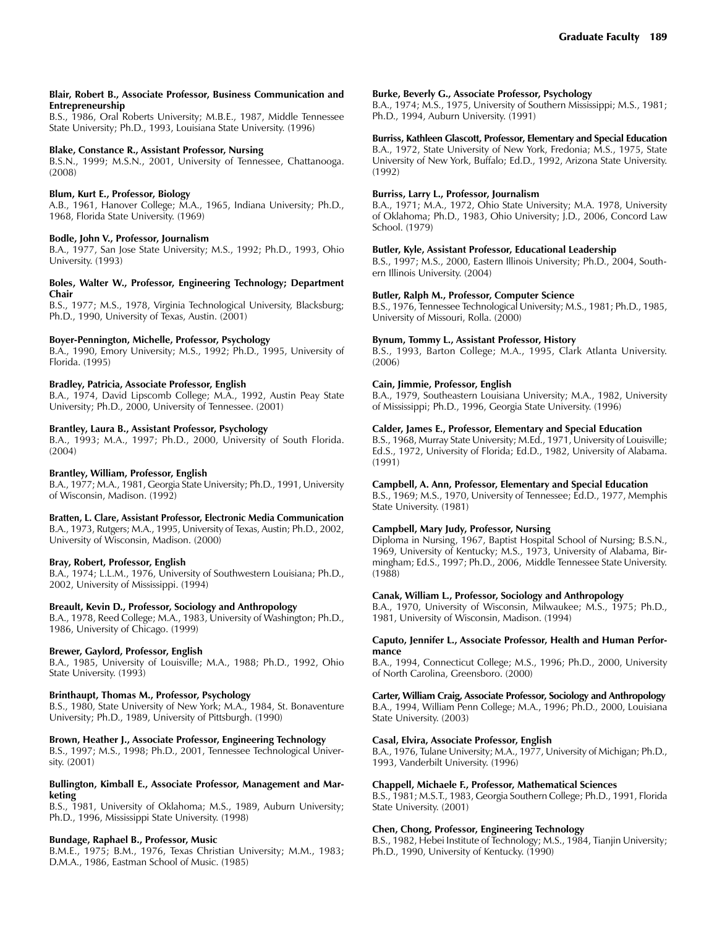#### **Blair, Robert B., Associate Professor, Business Communication and Entrepreneurship**

B.S., 1986, Oral Roberts University; M.B.E., 1987, Middle Tennessee State University; Ph.D., 1993, Louisiana State University. (1996)

#### **Blake, Constance R., Assistant Professor, Nursing**

B.S.N., 1999; M.S.N., 2001, University of Tennessee, Chattanooga. (2008)

### **Blum, Kurt E., Professor, Biology**

A.B., 1961, Hanover College; M.A., 1965, Indiana University; Ph.D., 1968, Florida State University. (1969)

#### **Bodle, John V., Professor, Journalism**

B.A., 1977, San Jose State University; M.S., 1992; Ph.D., 1993, Ohio University. (1993)

#### **Boles, Walter W., Professor, Engineering Technology; Department Chair**

B.S., 1977; M.S., 1978, Virginia Technological University, Blacksburg; Ph.D., 1990, University of Texas, Austin. (2001)

### **Boyer-Pennington, Michelle, Professor, Psychology**

B.A., 1990, Emory University; M.S., 1992; Ph.D., 1995, University of Florida. (1995)

### **Bradley, Patricia, Associate Professor, English**

B.A., 1974, David Lipscomb College; M.A., 1992, Austin Peay State University; Ph.D., 2000, University of Tennessee. (2001)

### **Brantley, Laura B., Assistant Professor, Psychology**

B.A., 1993; M.A., 1997; Ph.D., 2000, University of South Florida. (2004)

#### **Brantley, William, Professor, English**

B.A., 1977; M.A., 1981, Georgia State University; Ph.D., 1991, University of Wisconsin, Madison. (1992)

#### **Bratten, L. Clare, Assistant Professor, Electronic Media Communication** B.A., 1973, Rutgers; M.A., 1995, University of Texas, Austin; Ph.D., 2002, University of Wisconsin, Madison. (2000)

**Bray, Robert, Professor, English**

B.A., 1974; L.L.M., 1976, University of Southwestern Louisiana; Ph.D., 2002, University of Mississippi. (1994)

### **Breault, Kevin D., Professor, Sociology and Anthropology**

B.A., 1978, Reed College; M.A., 1983, University of Washington; Ph.D., 1986, University of Chicago. (1999)

#### **Brewer, Gaylord, Professor, English**

B.A., 1985, University of Louisville; M.A., 1988; Ph.D., 1992, Ohio State University. (1993)

### **Brinthaupt, Thomas M., Professor, Psychology**

B.S., 1980, State University of New York; M.A., 1984, St. Bonaventure University; Ph.D., 1989, University of Pittsburgh. (1990)

#### **Brown, Heather J., Associate Professor, Engineering Technology**

B.S., 1997; M.S., 1998; Ph.D., 2001, Tennessee Technological University. (2001)

#### **Bullington, Kimball E., Associate Professor, Management and Marketing**

B.S., 1981, University of Oklahoma; M.S., 1989, Auburn University; Ph.D., 1996, Mississippi State University. (1998)

#### **Bundage, Raphael B., Professor, Music**

B.M.E., 1975; B.M., 1976, Texas Christian University; M.M., 1983; D.M.A., 1986, Eastman School of Music. (1985)

#### **Burke, Beverly G., Associate Professor, Psychology**

B.A., 1974; M.S., 1975, University of Southern Mississippi; M.S., 1981; Ph.D., 1994, Auburn University. (1991)

#### **Burriss, Kathleen Glascott, Professor, Elementary and Special Education**

B.A., 1972, State University of New York, Fredonia; M.S., 1975, State University of New York, Buffalo; Ed.D., 1992, Arizona State University. (1992)

#### **Burriss, Larry L., Professor, Journalism**

B.A., 1971; M.A., 1972, Ohio State University; M.A. 1978, University of Oklahoma; Ph.D., 1983, Ohio University; J.D., 2006, Concord Law School. (1979)

### **Butler, Kyle, Assistant Professor, Educational Leadership**

B.S., 1997; M.S., 2000, Eastern Illinois University; Ph.D., 2004, Southern Illinois University. (2004)

#### **Butler, Ralph M., Professor, Computer Science**

B.S., 1976, Tennessee Technological University; M.S., 1981; Ph.D., 1985, University of Missouri, Rolla. (2000)

#### **Bynum, Tommy L., Assistant Professor, History**

B.S., 1993, Barton College; M.A., 1995, Clark Atlanta University. (2006)

### **Cain, Jimmie, Professor, English**

B.A., 1979, Southeastern Louisiana University; M.A., 1982, University of Mississippi; Ph.D., 1996, Georgia State University. (1996)

#### **Calder, James E., Professor, Elementary and Special Education**

B.S., 1968, Murray State University; M.Ed., 1971, University of Louisville; Ed.S., 1972, University of Florida; Ed.D., 1982, University of Alabama. (1991)

### **Campbell, A. Ann, Professor, Elementary and Special Education**

B.S., 1969; M.S., 1970, University of Tennessee; Ed.D., 1977, Memphis State University. (1981)

### **Campbell, Mary Judy, Professor, Nursing**

Diploma in Nursing, 1967, Baptist Hospital School of Nursing; B.S.N., 1969, University of Kentucky; M.S., 1973, University of Alabama, Birmingham; Ed.S., 1997; Ph.D., 2006, Middle Tennessee State University. (1988)

#### **Canak, William L., Professor, Sociology and Anthropology**

B.A., 1970, University of Wisconsin, Milwaukee; M.S., 1975; Ph.D., 1981, University of Wisconsin, Madison. (1994)

#### **Caputo, Jennifer L., Associate Professor, Health and Human Performance**

B.A., 1994, Connecticut College; M.S., 1996; Ph.D., 2000, University of North Carolina, Greensboro. (2000)

### **Carter, William Craig, Associate Professor, Sociology and Anthropology**

B.A., 1994, William Penn College; M.A., 1996; Ph.D., 2000, Louisiana State University. (2003)

#### **Casal, Elvira, Associate Professor, English**

B.A., 1976, Tulane University; M.A., 1977, University of Michigan; Ph.D., 1993, Vanderbilt University. (1996)

### **Chappell, Michaele F., Professor, Mathematical Sciences**

B.S., 1981; M.S.T., 1983, Georgia Southern College; Ph.D., 1991, Florida State University. (2001)

### **Chen, Chong, Professor, Engineering Technology**

B.S., 1982, Hebei Institute of Technology; M.S., 1984, Tianjin University; Ph.D., 1990, University of Kentucky. (1990)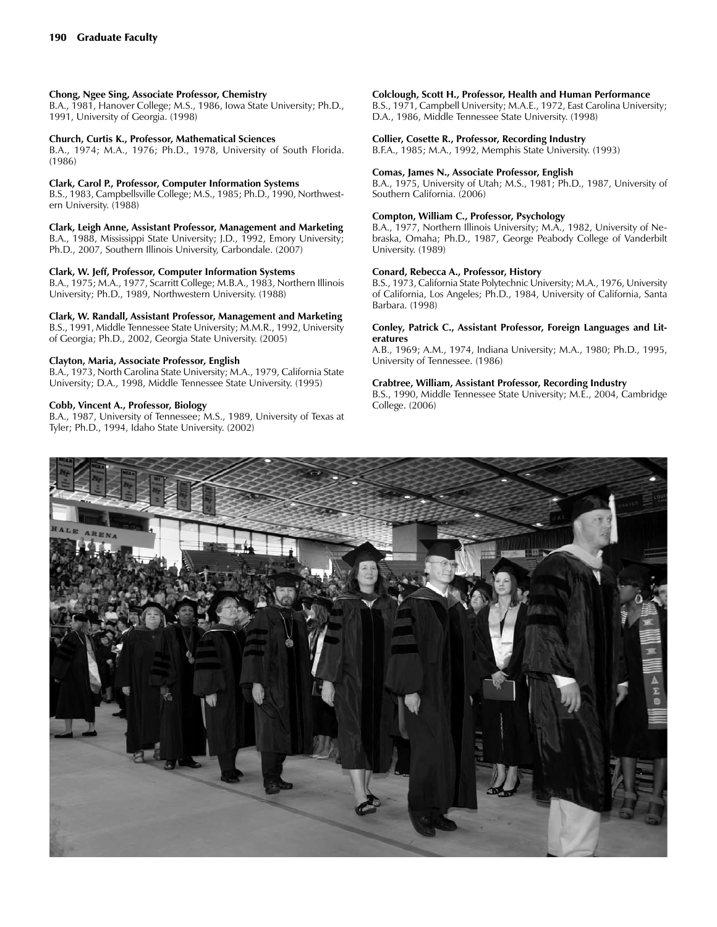### **Chong, Ngee Sing, Associate Professor, Chemistry**

B.A., 1981, Hanover College; M.S., 1986, Iowa State University; Ph.D., 1991, University of Georgia. (1998)

#### **Church, Curtis K., Professor, Mathematical Sciences**

B.A., 1974; M.A., 1976; Ph.D., 1978, University of South Florida. (1986)

#### **Clark, Carol P., Professor, Computer Information Systems**

B.S., 1983, Campbellsville College; M.S., 1985; Ph.D., 1990, Northwestern University. (1988)

**Clark, Leigh Anne, Assistant Professor, Management and Marketing** B.A., 1988, Mississippi State University; J.D., 1992, Emory University; Ph.D., 2007, Southern Illinois University, Carbondale. (2007)

#### **Clark, W. Jeff, Professor, Computer Information Systems**

B.A., 1975; M.A., 1977, Scarritt College; M.B.A., 1983, Northern Illinois University; Ph.D., 1989, Northwestern University. (1988)

### **Clark, W. Randall, Assistant Professor, Management and Marketing**

B.S., 1991, Middle Tennessee State University; M.M.R., 1992, University of Georgia; Ph.D., 2002, Georgia State University. (2005)

### **Clayton, Maria, Associate Professor, English**

B.A., 1973, North Carolina State University; M.A., 1979, California State University; D.A., 1998, Middle Tennessee State University. (1995)

### **Cobb, Vincent A., Professor, Biology**

B.A., 1987, University of Tennessee; M.S., 1989, University of Texas at Tyler; Ph.D., 1994, Idaho State University. (2002)

#### **Colclough, Scott H., Professor, Health and Human Performance**

B.S., 1971, Campbell University; M.A.E., 1972, East Carolina University; D.A., 1986, Middle Tennessee State University. (1998)

#### **Collier, Cosette R., Professor, Recording Industry**

B.F.A., 1985; M.A., 1992, Memphis State University. (1993)

#### **Comas, James N., Associate Professor, English**

B.A., 1975, University of Utah; M.S., 1981; Ph.D., 1987, University of Southern California. (2006)

#### **Compton, William C., Professor, Psychology**

B.A., 1977, Northern Illinois University; M.A., 1982, University of Nebraska, Omaha; Ph.D., 1987, George Peabody College of Vanderbilt University. (1989)

#### **Conard, Rebecca A., Professor, History**

B.S., 1973, California State Polytechnic University; M.A., 1976, University of California, Los Angeles; Ph.D., 1984, University of California, Santa Barbara. (1998)

#### **Conley, Patrick C., Assistant Professor, Foreign Languages and Literatures**

A.B., 1969; A.M., 1974, Indiana University; M.A., 1980; Ph.D., 1995, University of Tennessee. (1986)

#### **Crabtree, William, Assistant Professor, Recording Industry**

B.S., 1990, Middle Tennessee State University; M.E., 2004, Cambridge College. (2006)

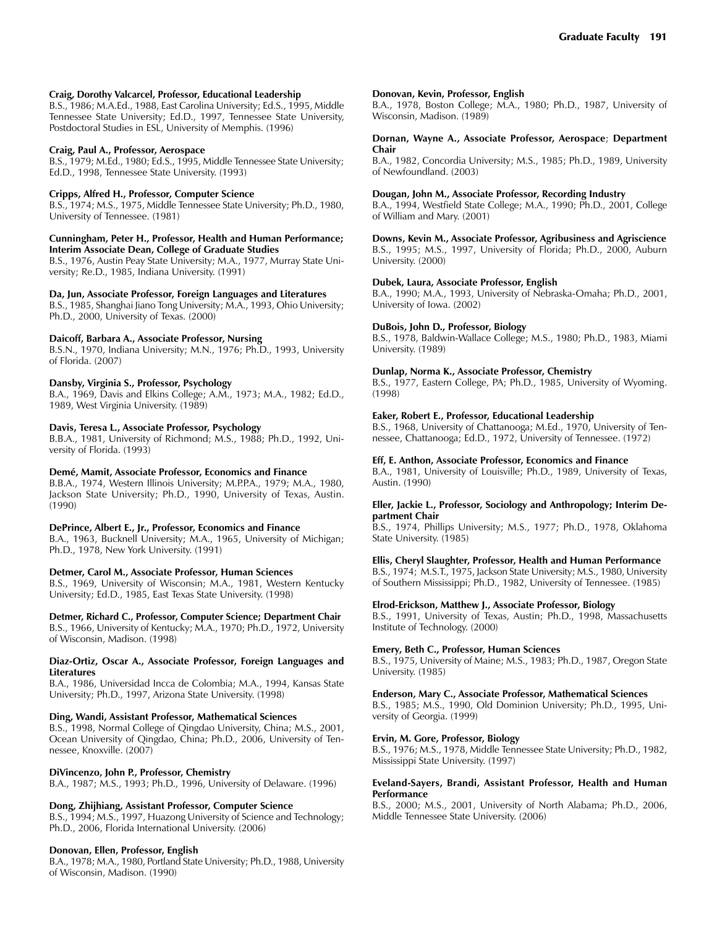### **Craig, Dorothy Valcarcel, Professor, Educational Leadership**

B.S., 1986; M.A.Ed., 1988, East Carolina University; Ed.S., 1995, Middle Tennessee State University; Ed.D., 1997, Tennessee State University, Postdoctoral Studies in ESL, University of Memphis. (1996)

### **Craig, Paul A., Professor, Aerospace**

B.S., 1979; M.Ed., 1980; Ed.S., 1995, Middle Tennessee State University; Ed.D., 1998, Tennessee State University. (1993)

### **Cripps, Alfred H., Professor, Computer Science**

B.S., 1974; M.S., 1975, Middle Tennessee State University; Ph.D., 1980, University of Tennessee. (1981)

#### **Cunningham, Peter H., Professor, Health and Human Performance; Interim Associate Dean, College of Graduate Studies**

B.S., 1976, Austin Peay State University; M.A., 1977, Murray State University; Re.D., 1985, Indiana University. (1991)

### **Da, Jun, Associate Professor, Foreign Languages and Literatures**

B.S., 1985, Shanghai Jiano Tong University; M.A., 1993, Ohio University; Ph.D., 2000, University of Texas. (2000)

### **Daicoff, Barbara A., Associate Professor, Nursing**

B.S.N., 1970, Indiana University; M.N., 1976; Ph.D., 1993, University of Florida. (2007)

### **Dansby, Virginia S., Professor, Psychology**

B.A., 1969, Davis and Elkins College; A.M., 1973; M.A., 1982; Ed.D., 1989, West Virginia University. (1989)

#### **Davis, Teresa L., Associate Professor, Psychology**

B.B.A., 1981, University of Richmond; M.S., 1988; Ph.D., 1992, University of Florida. (1993)

### **Demé, Mamit, Associate Professor, Economics and Finance**

B.B.A., 1974, Western Illinois University; M.P.P.A., 1979; M.A., 1980, Jackson State University; Ph.D., 1990, University of Texas, Austin. (1990)

### **DePrince, Albert E., Jr., Professor, Economics and Finance**

B.A., 1963, Bucknell University; M.A., 1965, University of Michigan; Ph.D., 1978, New York University. (1991)

### **Detmer, Carol M., Associate Professor, Human Sciences**

B.S., 1969, University of Wisconsin; M.A., 1981, Western Kentucky University; Ed.D., 1985, East Texas State University. (1998)

**Detmer, Richard C., Professor, Computer Science; Department Chair** B.S., 1966, University of Kentucky; M.A., 1970; Ph.D., 1972, University of Wisconsin, Madison. (1998)

#### **Diaz-Ortiz, Oscar A., Associate Professor, Foreign Languages and Literatures**

B.A., 1986, Universidad Incca de Colombia; M.A., 1994, Kansas State University; Ph.D., 1997, Arizona State University. (1998)

### **Ding, Wandi, Assistant Professor, Mathematical Sciences**

B.S., 1998, Normal College of Qingdao University, China; M.S., 2001, Ocean University of Qingdao, China; Ph.D., 2006, University of Tennessee, Knoxville. (2007)

### **DiVincenzo, John P., Professor, Chemistry**

B.A., 1987; M.S., 1993; Ph.D., 1996, University of Delaware. (1996)

### **Dong, Zhijhiang, Assistant Professor, Computer Science**

B.S., 1994; M.S., 1997, Huazong University of Science and Technology; Ph.D., 2006, Florida International University. (2006)

#### **Donovan, Ellen, Professor, English**

B.A., 1978; M.A., 1980, Portland State University; Ph.D., 1988, University of Wisconsin, Madison. (1990)

### **Donovan, Kevin, Professor, English**

B.A., 1978, Boston College; M.A., 1980; Ph.D., 1987, University of Wisconsin, Madison. (1989)

#### **Dornan, Wayne A., Associate Professor, Aerospace**; **Department Chair**

B.A., 1982, Concordia University; M.S., 1985; Ph.D., 1989, University of Newfoundland. (2003)

### **Dougan, John M., Associate Professor, Recording Industry**

B.A., 1994, Westfield State College; M.A., 1990; Ph.D., 2001, College of William and Mary. (2001)

**Downs, Kevin M., Associate Professor, Agribusiness and Agriscience**

B.S., 1995; M.S., 1997, University of Florida; Ph.D., 2000, Auburn University. (2000)

#### **Dubek, Laura, Associate Professor, English**

B.A., 1990; M.A., 1993, University of Nebraska-Omaha; Ph.D., 2001, University of Iowa. (2002)

#### **DuBois, John D., Professor, Biology**

B.S., 1978, Baldwin-Wallace College; M.S., 1980; Ph.D., 1983, Miami University. (1989)

### **Dunlap, Norma K., Associate Professor, Chemistry**

B.S., 1977, Eastern College, PA; Ph.D., 1985, University of Wyoming. (1998)

#### **Eaker, Robert E., Professor, Educational Leadership**

B.S., 1968, University of Chattanooga; M.Ed., 1970, University of Tennessee, Chattanooga; Ed.D., 1972, University of Tennessee. (1972)

### **Eff, E. Anthon, Associate Professor, Economics and Finance**

B.A., 1981, University of Louisville; Ph.D., 1989, University of Texas, Austin. (1990)

#### **Eller, Jackie L., Professor, Sociology and Anthropology; Interim Department Chair**

B.S., 1974, Phillips University; M.S., 1977; Ph.D., 1978, Oklahoma State University. (1985)

### **Ellis, Cheryl Slaughter, Professor, Health and Human Performance**

B.S., 1974; M.S.T., 1975, Jackson State University; M.S., 1980, University of Southern Mississippi; Ph.D., 1982, University of Tennessee. (1985)

### **Elrod-Erickson, Matthew J., Associate Professor, Biology**

B.S., 1991, University of Texas, Austin; Ph.D., 1998, Massachusetts Institute of Technology. (2000)

# **Emery, Beth C., Professor, Human Sciences**

B.S., 1975, University of Maine; M.S., 1983; Ph.D., 1987, Oregon State University. (1985)

#### **Enderson, Mary C., Associate Professor, Mathematical Sciences**

B.S., 1985; M.S., 1990, Old Dominion University; Ph.D., 1995, University of Georgia. (1999)

#### **Ervin, M. Gore, Professor, Biology**

B.S., 1976; M.S., 1978, Middle Tennessee State University; Ph.D., 1982, Mississippi State University. (1997)

#### **Eveland-Sayers, Brandi, Assistant Professor, Health and Human Performance**

B.S., 2000; M.S., 2001, University of North Alabama; Ph.D., 2006, Middle Tennessee State University. (2006)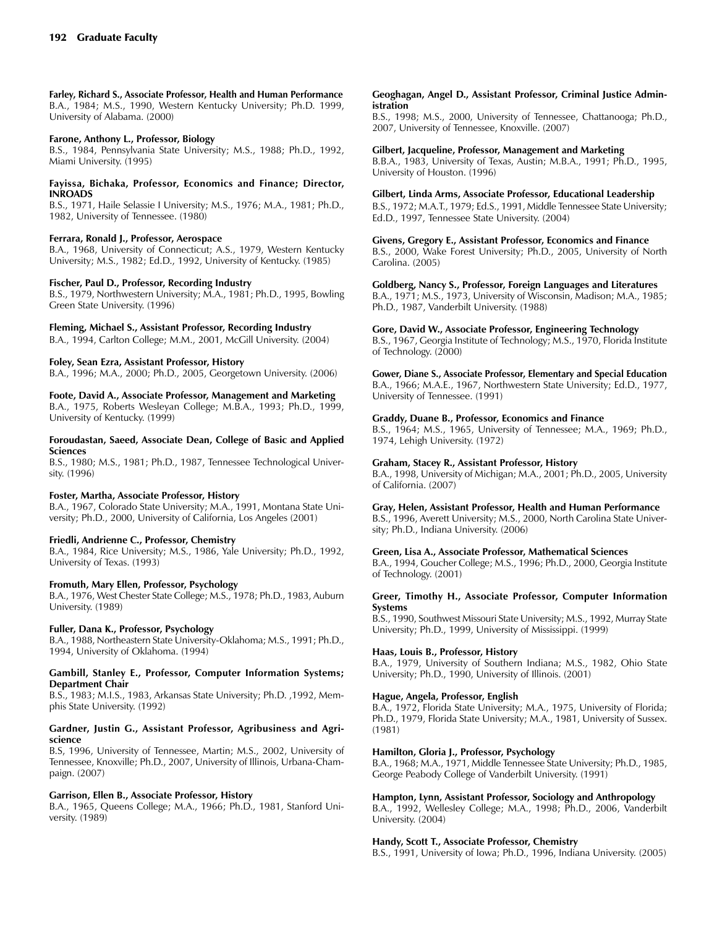**Farley, Richard S., Associate Professor, Health and Human Performance** B.A., 1984; M.S., 1990, Western Kentucky University; Ph.D. 1999, University of Alabama. (2000)

### **Farone, Anthony L., Professor, Biology**

B.S., 1984, Pennsylvania State University; M.S., 1988; Ph.D., 1992, Miami University. (1995)

#### **Fayissa, Bichaka, Professor, Economics and Finance; Director, INROADS**

B.S., 1971, Haile Selassie I University; M.S., 1976; M.A., 1981; Ph.D., 1982, University of Tennessee. (1980)

#### **Ferrara, Ronald J., Professor, Aerospace**

B.A., 1968, University of Connecticut; A.S., 1979, Western Kentucky University; M.S., 1982; Ed.D., 1992, University of Kentucky. (1985)

#### **Fischer, Paul D., Professor, Recording Industry**

B.S., 1979, Northwestern University; M.A., 1981; Ph.D., 1995, Bowling Green State University. (1996)

### **Fleming, Michael S., Assistant Professor, Recording Industry**

B.A., 1994, Carlton College; M.M., 2001, McGill University. (2004)

#### **Foley, Sean Ezra, Assistant Professor, History**

B.A., 1996; M.A., 2000; Ph.D., 2005, Georgetown University. (2006)

#### **Foote, David A., Associate Professor, Management and Marketing**

B.A., 1975, Roberts Wesleyan College; M.B.A., 1993; Ph.D., 1999, University of Kentucky. (1999)

### **Foroudastan, Saeed, Associate Dean, College of Basic and Applied Sciences**

B.S., 1980; M.S., 1981; Ph.D., 1987, Tennessee Technological University. (1996)

#### **Foster, Martha, Associate Professor, History**

B.A., 1967, Colorado State University; M.A., 1991, Montana State University; Ph.D., 2000, University of California, Los Angeles (2001)

#### **Friedli, Andrienne C., Professor, Chemistry**

B.A., 1984, Rice University; M.S., 1986, Yale University; Ph.D., 1992, University of Texas. (1993)

### **Fromuth, Mary Ellen, Professor, Psychology**

B.A., 1976, West Chester State College; M.S., 1978; Ph.D., 1983, Auburn University. (1989)

#### **Fuller, Dana K., Professor, Psychology**

B.A., 1988, Northeastern State University-Oklahoma; M.S., 1991; Ph.D., 1994, University of Oklahoma. (1994)

#### **Gambill, Stanley E., Professor, Computer Information Systems; Department Chair**

B.S., 1983; M.I.S., 1983, Arkansas State University; Ph.D. ,1992, Memphis State University. (1992)

#### **Gardner, Justin G., Assistant Professor, Agribusiness and Agriscience**

B.S, 1996, University of Tennessee, Martin; M.S., 2002, University of Tennessee, Knoxville; Ph.D., 2007, University of Illinois, Urbana-Champaign. (2007)

### **Garrison, Ellen B., Associate Professor, History**

B.A., 1965, Queens College; M.A., 1966; Ph.D., 1981, Stanford University. (1989)

### **Geoghagan, Angel D., Assistant Professor, Criminal Justice Administration**

B.S., 1998; M.S., 2000, University of Tennessee, Chattanooga; Ph.D., 2007, University of Tennessee, Knoxville. (2007)

### **Gilbert, Jacqueline, Professor, Management and Marketing**

B.B.A., 1983, University of Texas, Austin; M.B.A., 1991; Ph.D., 1995, University of Houston. (1996)

### **Gilbert, Linda Arms, Associate Professor, Educational Leadership**

B.S., 1972; M.A.T., 1979; Ed.S., 1991, Middle Tennessee State University; Ed.D., 1997, Tennessee State University. (2004)

#### **Givens, Gregory E., Assistant Professor, Economics and Finance**

B.S., 2000, Wake Forest University; Ph.D., 2005, University of North Carolina. (2005)

#### **Goldberg, Nancy S., Professor, Foreign Languages and Literatures**

B.A., 1971; M.S., 1973, University of Wisconsin, Madison; M.A., 1985; Ph.D., 1987, Vanderbilt University. (1988)

#### **Gore, David W., Associate Professor, Engineering Technology**

B.S., 1967, Georgia Institute of Technology; M.S., 1970, Florida Institute of Technology. (2000)

# **Gower, Diane S., Associate Professor, Elementary and Special Education**

B.A., 1966; M.A.E., 1967, Northwestern State University; Ed.D., 1977, University of Tennessee. (1991)

### **Graddy, Duane B., Professor, Economics and Finance**

B.S., 1964; M.S., 1965, University of Tennessee; M.A., 1969; Ph.D., 1974, Lehigh University. (1972)

#### **Graham, Stacey R., Assistant Professor, History**

B.A., 1998, University of Michigan; M.A., 2001; Ph.D., 2005, University of California. (2007)

### **Gray, Helen, Assistant Professor, Health and Human Performance**

B.S., 1996, Averett University; M.S., 2000, North Carolina State University; Ph.D., Indiana University. (2006)

#### **Green, Lisa A., Associate Professor, Mathematical Sciences**

B.A., 1994, Goucher College; M.S., 1996; Ph.D., 2000, Georgia Institute of Technology. (2001)

#### **Greer, Timothy H., Associate Professor, Computer Information Systems**

B.S., 1990, Southwest Missouri State University; M.S., 1992, Murray State University; Ph.D., 1999, University of Mississippi. (1999)

### **Haas, Louis B., Professor, History**

B.A., 1979, University of Southern Indiana; M.S., 1982, Ohio State University; Ph.D., 1990, University of Illinois. (2001)

### **Hague, Angela, Professor, English**

B.A., 1972, Florida State University; M.A., 1975, University of Florida; Ph.D., 1979, Florida State University; M.A., 1981, University of Sussex. (1981)

### **Hamilton, Gloria J., Professor, Psychology**

B.A., 1968; M.A., 1971, Middle Tennessee State University; Ph.D., 1985, George Peabody College of Vanderbilt University. (1991)

### **Hampton, Lynn, Assistant Professor, Sociology and Anthropology**

B.A., 1992, Wellesley College; M.A., 1998; Ph.D., 2006, Vanderbilt University. (2004)

#### **Handy, Scott T., Associate Professor, Chemistry**

B.S., 1991, University of Iowa; Ph.D., 1996, Indiana University. (2005)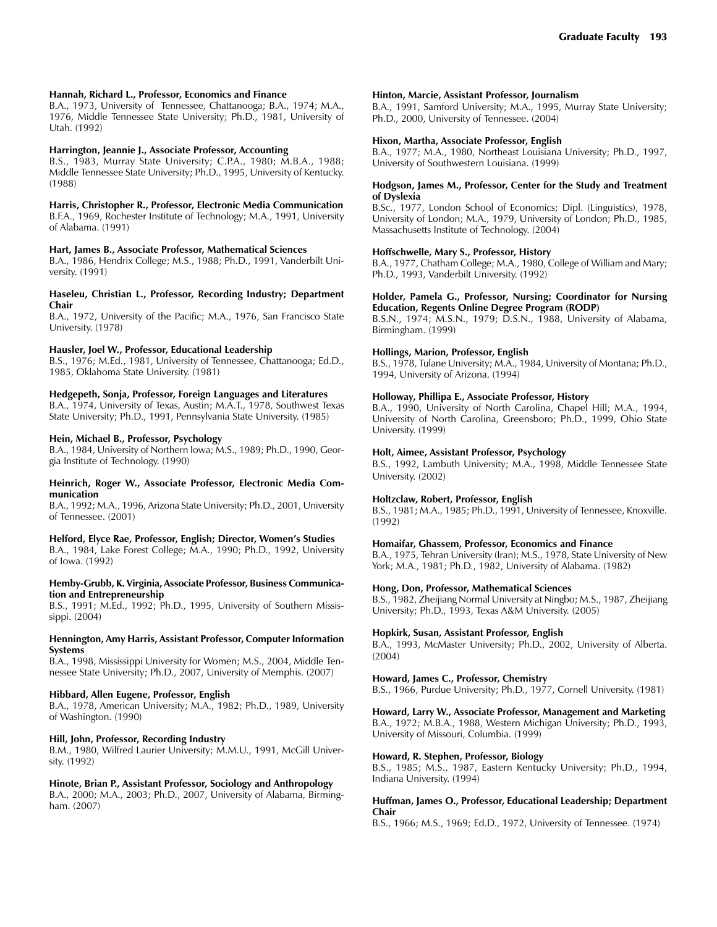### **Hannah, Richard L., Professor, Economics and Finance**

B.A., 1973, University of Tennessee, Chattanooga; B.A., 1974; M.A., 1976, Middle Tennessee State University; Ph.D., 1981, University of Utah. (1992)

#### **Harrington, Jeannie J., Associate Professor, Accounting**

B.S., 1983, Murray State University; C.P.A., 1980; M.B.A., 1988; Middle Tennessee State University; Ph.D., 1995, University of Kentucky. (1988)

### **Harris, Christopher R., Professor, Electronic Media Communication**

B.F.A., 1969, Rochester Institute of Technology; M.A., 1991, University of Alabama. (1991)

### **Hart, James B., Associate Professor, Mathematical Sciences**

B.A., 1986, Hendrix College; M.S., 1988; Ph.D., 1991, Vanderbilt University. (1991)

### **Haseleu, Christian L., Professor, Recording Industry; Department Chair**

B.A., 1972, University of the Pacific; M.A., 1976, San Francisco State University. (1978)

#### **Hausler, Joel W., Professor, Educational Leadership**

B.S., 1976; M.Ed., 1981, University of Tennessee, Chattanooga; Ed.D., 1985, Oklahoma State University. (1981)

#### **Hedgepeth, Sonja, Professor, Foreign Languages and Literatures**

B.A., 1974, University of Texas, Austin; M.A.T., 1978, Southwest Texas State University; Ph.D., 1991, Pennsylvania State University. (1985)

#### **Hein, Michael B., Professor, Psychology**

B.A., 1984, University of Northern Iowa; M.S., 1989; Ph.D., 1990, Georgia Institute of Technology. (1990)

#### **Heinrich, Roger W., Associate Professor, Electronic Media Communication**

B.A., 1992; M.A., 1996, Arizona State University; Ph.D., 2001, University of Tennessee. (2001)

#### **Helford, Elyce Rae, Professor, English; Director, Women's Studies**

B.A., 1984, Lake Forest College; M.A., 1990; Ph.D., 1992, University of Iowa. (1992)

#### **Hemby-Grubb, K. Virginia, Associate Professor, Business Communication and Entrepreneurship**

B.S., 1991; M.Ed., 1992; Ph.D., 1995, University of Southern Mississippi. (2004)

#### **Hennington, Amy Harris, Assistant Professor, Computer Information Systems**

B.A., 1998, Mississippi University for Women; M.S., 2004, Middle Tennessee State University; Ph.D., 2007, University of Memphis. (2007)

### **Hibbard, Allen Eugene, Professor, English**

B.A., 1978, American University; M.A., 1982; Ph.D., 1989, University of Washington. (1990)

### **Hill, John, Professor, Recording Industry**

B.M., 1980, Wilfred Laurier University; M.M.U., 1991, McGill University. (1992)

### **Hinote, Brian P., Assistant Professor, Sociology and Anthropology**

B.A., 2000; M.A., 2003; Ph.D., 2007, University of Alabama, Birmingham. (2007)

#### **Hinton, Marcie, Assistant Professor, Journalism**

B.A., 1991, Samford University; M.A., 1995, Murray State University; Ph.D., 2000, University of Tennessee. (2004)

#### **Hixon, Martha, Associate Professor, English**

B.A., 1977; M.A., 1980, Northeast Louisiana University; Ph.D., 1997, University of Southwestern Louisiana. (1999)

### **Hodgson, James M., Professor, Center for the Study and Treatment of Dyslexia**

B.Sc., 1977, London School of Economics; Dipl. (Linguistics), 1978, University of London; M.A., 1979, University of London; Ph.D., 1985, Massachusetts Institute of Technology. (2004)

#### **Hoffschwelle, Mary S., Professor, History**

B.A., 1977, Chatham College; M.A., 1980, College of William and Mary; Ph.D., 1993, Vanderbilt University. (1992)

#### **Holder, Pamela G., Professor, Nursing; Coordinator for Nursing Education, Regents Online Degree Program (RODP)**

B.S.N., 1974; M.S.N., 1979; D.S.N., 1988, University of Alabama, Birmingham. (1999)

#### **Hollings, Marion, Professor, English**

B.S., 1978, Tulane University; M.A., 1984, University of Montana; Ph.D., 1994, University of Arizona. (1994)

### **Holloway, Phillipa E., Associate Professor, History**

B.A., 1990, University of North Carolina, Chapel Hill; M.A., 1994, University of North Carolina, Greensboro; Ph.D., 1999, Ohio State University. (1999)

#### **Holt, Aimee, Assistant Professor, Psychology**

B.S., 1992, Lambuth University; M.A., 1998, Middle Tennessee State University. (2002)

### **Holtzclaw, Robert, Professor, English**

B.S., 1981; M.A., 1985; Ph.D., 1991, University of Tennessee, Knoxville. (1992)

### **Homaifar, Ghassem, Professor, Economics and Finance**

B.A., 1975, Tehran University (Iran); M.S., 1978, State University of New York; M.A., 1981; Ph.D., 1982, University of Alabama. (1982)

#### **Hong, Don, Professor, Mathematical Sciences**

B.S., 1982, Zheijiang Normal University at Ningbo; M.S., 1987, Zheijiang University; Ph.D., 1993, Texas A&M University. (2005)

#### **Hopkirk, Susan, Assistant Professor, English**

B.A., 1993, McMaster University; Ph.D., 2002, University of Alberta. (2004)

### **Howard, James C., Professor, Chemistry**

B.S., 1966, Purdue University; Ph.D., 1977, Cornell University. (1981)

#### **Howard, Larry W., Associate Professor, Management and Marketing**

B.A., 1972; M.B.A., 1988, Western Michigan University; Ph.D., 1993, University of Missouri, Columbia. (1999)

#### **Howard, R. Stephen, Professor, Biology**

B.S., 1985; M.S., 1987, Eastern Kentucky University; Ph.D., 1994, Indiana University. (1994)

#### **Huffman, James O., Professor, Educational Leadership; Department Chair**

B.S., 1966; M.S., 1969; Ed.D., 1972, University of Tennessee. (1974)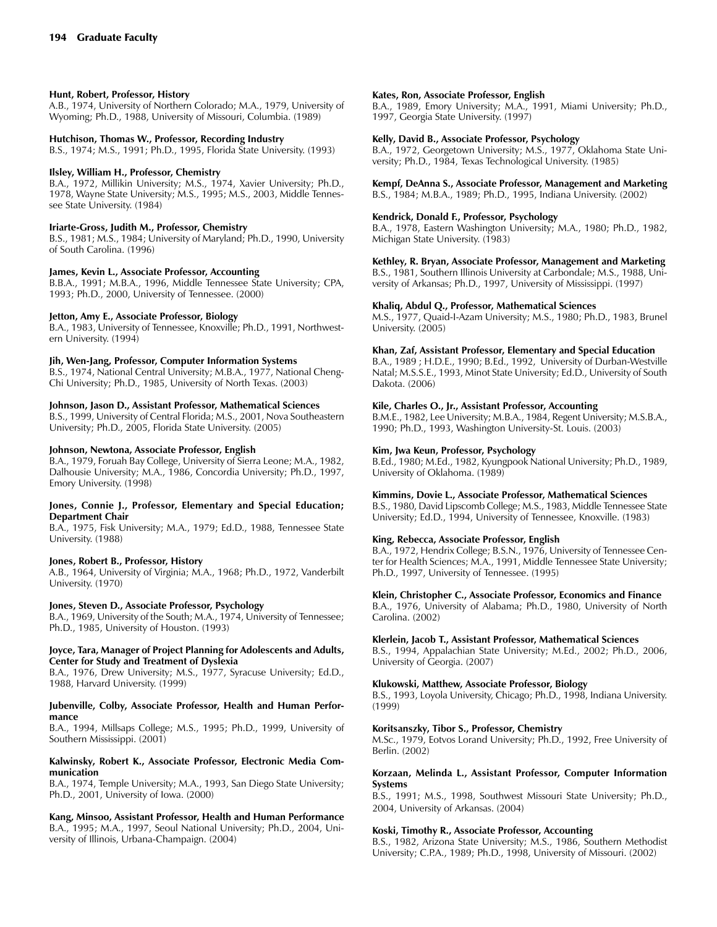### **Hunt, Robert, Professor, History**

A.B., 1974, University of Northern Colorado; M.A., 1979, University of Wyoming; Ph.D., 1988, University of Missouri, Columbia. (1989)

#### **Hutchison, Thomas W., Professor, Recording Industry**

B.S., 1974; M.S., 1991; Ph.D., 1995, Florida State University. (1993)

#### **Ilsley, William H., Professor, Chemistry**

B.A., 1972, Millikin University; M.S., 1974, Xavier University; Ph.D., 1978, Wayne State University; M.S., 1995; M.S., 2003, Middle Tennessee State University. (1984)

### **Iriarte-Gross, Judith M., Professor, Chemistry**

B.S., 1981; M.S., 1984; University of Maryland; Ph.D., 1990, University of South Carolina. (1996)

### **James, Kevin L., Associate Professor, Accounting**

B.B.A., 1991; M.B.A., 1996, Middle Tennessee State University; CPA, 1993; Ph.D., 2000, University of Tennessee. (2000)

#### **Jetton, Amy E., Associate Professor, Biology**

B.A., 1983, University of Tennessee, Knoxville; Ph.D., 1991, Northwestern University. (1994)

### **Jih, Wen-Jang, Professor, Computer Information Systems**

B.S., 1974, National Central University; M.B.A., 1977, National Cheng-Chi University; Ph.D., 1985, University of North Texas. (2003)

### **Johnson, Jason D., Assistant Professor, Mathematical Sciences**

B.S., 1999, University of Central Florida; M.S., 2001, Nova Southeastern University; Ph.D., 2005, Florida State University. (2005)

#### **Johnson, Newtona, Associate Professor, English**

B.A., 1979, Foruah Bay College, University of Sierra Leone; M.A., 1982, Dalhousie University; M.A., 1986, Concordia University; Ph.D., 1997, Emory University. (1998)

#### **Jones, Connie J., Professor, Elementary and Special Education; Department Chair**

B.A., 1975, Fisk University; M.A., 1979; Ed.D., 1988, Tennessee State University. (1988)

#### **Jones, Robert B., Professor, History**

A.B., 1964, University of Virginia; M.A., 1968; Ph.D., 1972, Vanderbilt University. (1970)

#### **Jones, Steven D., Associate Professor, Psychology**

B.A., 1969, University of the South; M.A., 1974, University of Tennessee; Ph.D., 1985, University of Houston. (1993)

#### **Joyce, Tara, Manager of Project Planning for Adolescents and Adults, Center for Study and Treatment of Dyslexia**

B.A., 1976, Drew University; M.S., 1977, Syracuse University; Ed.D., 1988, Harvard University. (1999)

#### **Jubenville, Colby, Associate Professor, Health and Human Performance**

B.A., 1994, Millsaps College; M.S., 1995; Ph.D., 1999, University of Southern Mississippi. (2001)

### **Kalwinsky, Robert K., Associate Professor, Electronic Media Communication**

B.A., 1974, Temple University; M.A., 1993, San Diego State University; Ph.D., 2001, University of Iowa. (2000)

**Kang, Minsoo, Assistant Professor, Health and Human Performance** B.A., 1995; M.A., 1997, Seoul National University; Ph.D., 2004, University of Illinois, Urbana-Champaign. (2004)

#### **Kates, Ron, Associate Professor, English**

B.A., 1989, Emory University; M.A., 1991, Miami University; Ph.D., 1997, Georgia State University. (1997)

### **Kelly, David B., Associate Professor, Psychology**

B.A., 1972, Georgetown University; M.S., 1977, Oklahoma State University; Ph.D., 1984, Texas Technological University. (1985)

### **Kempf, DeAnna S., Associate Professor, Management and Marketing**

B.S., 1984; M.B.A., 1989; Ph.D., 1995, Indiana University. (2002)

# **Kendrick, Donald F., Professor, Psychology**

B.A., 1978, Eastern Washington University; M.A., 1980; Ph.D., 1982, Michigan State University. (1983)

### **Kethley, R. Bryan, Associate Professor, Management and Marketing**

B.S., 1981, Southern Illinois University at Carbondale; M.S., 1988, University of Arkansas; Ph.D., 1997, University of Mississippi. (1997)

#### **Khaliq, Abdul Q., Professor, Mathematical Sciences**

M.S., 1977, Quaid-I-Azam University; M.S., 1980; Ph.D., 1983, Brunel University. (2005)

#### **Khan, Zaf, Assistant Professor, Elementary and Special Education**

B.A., 1989 ; H.D.E., 1990; B.Ed., 1992, University of Durban-Westville Natal; M.S.S.E., 1993, Minot State University; Ed.D., University of South Dakota. (2006)

#### **Kile, Charles O., Jr., Assistant Professor, Accounting**

B.M.E., 1982, Lee University; M.B.A., 1984, Regent University; M.S.B.A., 1990; Ph.D., 1993, Washington University-St. Louis. (2003)

#### **Kim, Jwa Keun, Professor, Psychology**

B.Ed., 1980; M.Ed., 1982, Kyungpook National University; Ph.D., 1989, University of Oklahoma. (1989)

# **Kimmins, Dovie L., Associate Professor, Mathematical Sciences**

B.S., 1980, David Lipscomb College; M.S., 1983, Middle Tennessee State University; Ed.D., 1994, University of Tennessee, Knoxville. (1983)

### **King, Rebecca, Associate Professor, English**

B.A., 1972, Hendrix College; B.S.N., 1976, University of Tennessee Center for Health Sciences; M.A., 1991, Middle Tennessee State University; Ph.D., 1997, University of Tennessee. (1995)

#### **Klein, Christopher C., Associate Professor, Economics and Finance**

B.A., 1976, University of Alabama; Ph.D., 1980, University of North Carolina. (2002)

### **Klerlein, Jacob T., Assistant Professor, Mathematical Sciences**

B.S., 1994, Appalachian State University; M.Ed., 2002; Ph.D., 2006, University of Georgia. (2007)

### **Klukowski, Matthew, Associate Professor, Biology**

B.S., 1993, Loyola University, Chicago; Ph.D., 1998, Indiana University. (1999)

#### **Koritsanszky, Tibor S., Professor, Chemistry**

M.Sc., 1979, Eotvos Lorand University; Ph.D., 1992, Free University of Berlin. (2002)

#### **Korzaan, Melinda L., Assistant Professor, Computer Information Systems**

B.S., 1991; M.S., 1998, Southwest Missouri State University; Ph.D., 2004, University of Arkansas. (2004)

#### **Koski, Timothy R., Associate Professor, Accounting**

B.S., 1982, Arizona State University; M.S., 1986, Southern Methodist University; C.P.A., 1989; Ph.D., 1998, University of Missouri. (2002)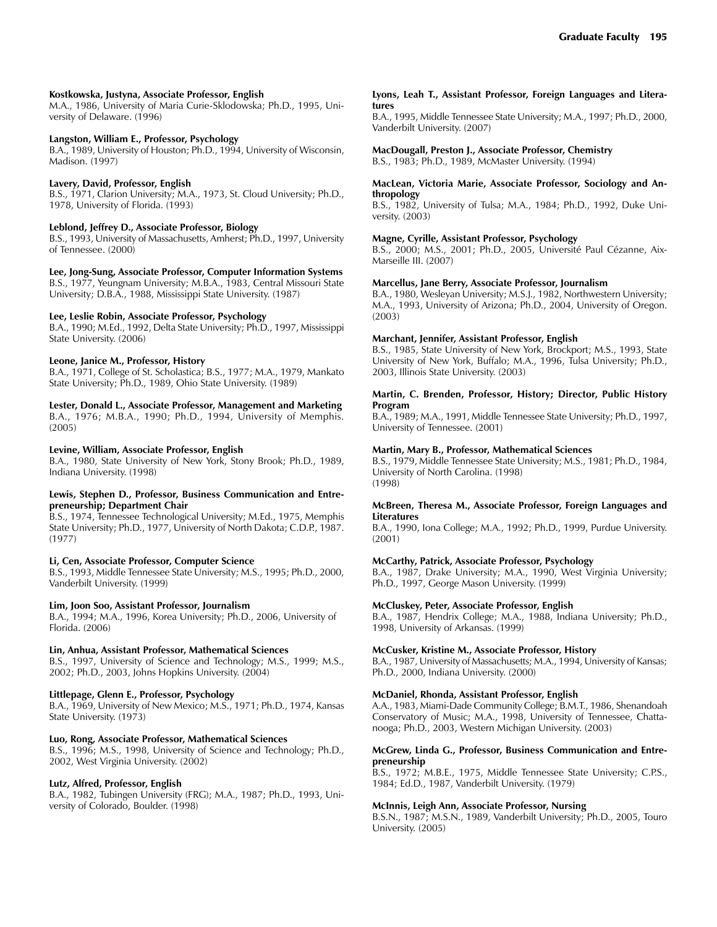#### **Kostkowska, Justyna, Associate Professor, English**

M.A., 1986, University of Maria Curie-Sklodowska; Ph.D., 1995, University of Delaware. (1996)

#### **Langston, William E., Professor, Psychology**

B.A., 1989, University of Houston; Ph.D., 1994, University of Wisconsin, Madison. (1997)

#### **Lavery, David, Professor, English**

B.S., 1971, Clarion University; M.A., 1973, St. Cloud University; Ph.D., 1978, University of Florida. (1993)

#### **Leblond, Jeffrey D., Associate Professor, Biology**

B.S., 1993, University of Massachusetts, Amherst; Ph.D., 1997, University of Tennessee. (2000)

#### **Lee, Jong-Sung, Associate Professor, Computer Information Systems**

B.S., 1977, Yeungnam University; M.B.A., 1983, Central Missouri State University; D.B.A., 1988, Mississippi State University. (1987)

#### **Lee, Leslie Robin, Associate Professor, Psychology**

B.A., 1990; M.Ed., 1992, Delta State University; Ph.D., 1997, Mississippi State University. (2006)

#### **Leone, Janice M., Professor, History**

B.A., 1971, College of St. Scholastica; B.S., 1977; M.A., 1979, Mankato State University; Ph.D., 1989, Ohio State University. (1989)

#### **Lester, Donald L., Associate Professor, Management and Marketing**

B.A., 1976; M.B.A., 1990; Ph.D., 1994, University of Memphis. (2005)

#### **Levine, William, Associate Professor, English**

B.A., 1980, State University of New York, Stony Brook; Ph.D., 1989, Indiana University. (1998)

#### **Lewis, Stephen D., Professor, Business Communication and Entrepreneurship; Department Chair**

B.S., 1974, Tennessee Technological University; M.Ed., 1975, Memphis State University; Ph.D., 1977, University of North Dakota; C.D.P., 1987. (1977)

#### **Li, Cen, Associate Professor, Computer Science**

B.S., 1993, Middle Tennessee State University; M.S., 1995; Ph.D., 2000, Vanderbilt University. (1999)

#### **Lim, Joon Soo, Assistant Professor, Journalism**

B.A., 1994; M.A., 1996, Korea University; Ph.D., 2006, University of Florida. (2006)

#### **Lin, Anhua, Assistant Professor, Mathematical Sciences**

B.S., 1997, University of Science and Technology; M.S., 1999; M.S., 2002; Ph.D., 2003, Johns Hopkins University. (2004)

#### **Littlepage, Glenn E., Professor, Psychology**

B.A., 1969, University of New Mexico; M.S., 1971; Ph.D., 1974, Kansas State University. (1973)

### **Luo, Rong, Associate Professor, Mathematical Sciences**

B.S., 1996; M.S., 1998, University of Science and Technology; Ph.D., 2002, West Virginia University. (2002)

#### **Lutz, Alfred, Professor, English**

B.A., 1982, Tubingen University (FRG); M.A., 1987; Ph.D., 1993, University of Colorado, Boulder. (1998)

#### **Lyons, Leah T., Assistant Professor, Foreign Languages and Literatures**

B.A., 1995, Middle Tennessee State University; M.A., 1997; Ph.D., 2000, Vanderbilt University. (2007)

#### **MacDougall, Preston J., Associate Professor, Chemistry** B.S., 1983; Ph.D., 1989, McMaster University. (1994)

#### **MacLean, Victoria Marie, Associate Professor, Sociology and Anthropology**

B.S., 1982, University of Tulsa; M.A., 1984; Ph.D., 1992, Duke University. (2003)

#### **Magne, Cyrille, Assistant Professor, Psychology**

B.S., 2000; M.S., 2001; Ph.D., 2005, Université Paul Cézanne, Aix-Marseille III. (2007)

### **Marcellus, Jane Berry, Associate Professor, Journalism**

B.A., 1980, Wesleyan University; M.S.J., 1982, Northwestern University; M.A., 1993, University of Arizona; Ph.D., 2004, University of Oregon. (2003)

#### **Marchant, Jennifer, Assistant Professor, English**

B.S., 1985, State University of New York, Brockport; M.S., 1993, State University of New York, Buffalo; M.A., 1996, Tulsa University; Ph.D., 2003, Illinois State University. (2003)

#### **Martin, C. Brenden, Professor, History; Director, Public History Program**

B.A., 1989; M.A., 1991, Middle Tennessee State University; Ph.D., 1997, University of Tennessee. (2001)

#### **Martin, Mary B., Professor, Mathematical Sciences**

B.S., 1979, Middle Tennessee State University; M.S., 1981; Ph.D., 1984, University of North Carolina. (1998) (1998)

#### **McBreen, Theresa M., Associate Professor, Foreign Languages and Literatures**

B.A., 1990, Iona College; M.A., 1992; Ph.D., 1999, Purdue University. (2001)

#### **McCarthy, Patrick, Associate Professor, Psychology**

B.A., 1987, Drake University; M.A., 1990, West Virginia University; Ph.D., 1997, George Mason University. (1999)

#### **McCluskey, Peter, Associate Professor, English**

B.A., 1987, Hendrix College; M.A., 1988, Indiana University; Ph.D., 1998, University of Arkansas. (1999)

#### **McCusker, Kristine M., Associate Professor, History**

B.A., 1987, University of Massachusetts; M.A., 1994, University of Kansas; Ph.D., 2000, Indiana University. (2000)

### **McDaniel, Rhonda, Assistant Professor, English**

A.A., 1983, Miami-Dade Community College; B.M.T., 1986, Shenandoah Conservatory of Music; M.A., 1998, University of Tennessee, Chattanooga; Ph.D., 2003, Western Michigan University. (2003)

#### **McGrew, Linda G., Professor, Business Communication and Entrepreneurship**

B.S., 1972; M.B.E., 1975, Middle Tennessee State University; C.P.S., 1984; Ed.D., 1987, Vanderbilt University. (1979)

#### **McInnis, Leigh Ann, Associate Professor, Nursing**

B.S.N., 1987; M.S.N., 1989, Vanderbilt University; Ph.D., 2005, Touro University. (2005)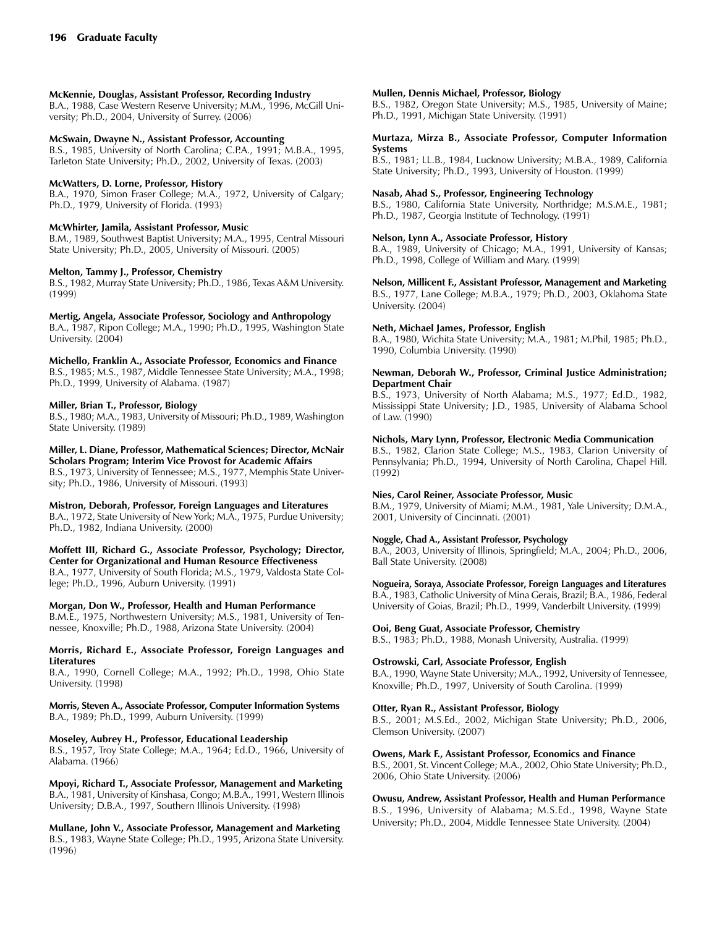### **McKennie, Douglas, Assistant Professor, Recording Industry**

B.A., 1988, Case Western Reserve University; M.M., 1996, McGill University; Ph.D., 2004, University of Surrey. (2006)

### **McSwain, Dwayne N., Assistant Professor, Accounting**

B.S., 1985, University of North Carolina; C.P.A., 1991; M.B.A., 1995, Tarleton State University; Ph.D., 2002, University of Texas. (2003)

### **McWatters, D. Lorne, Professor, History**

B.A., 1970, Simon Fraser College; M.A., 1972, University of Calgary; Ph.D., 1979, University of Florida. (1993)

### **McWhirter, Jamila, Assistant Professor, Music**

B.M., 1989, Southwest Baptist University; M.A., 1995, Central Missouri State University; Ph.D., 2005, University of Missouri. (2005)

# **Melton, Tammy J., Professor, Chemistry**

B.S., 1982, Murray State University; Ph.D., 1986, Texas A&M University. (1999)

**Mertig, Angela, Associate Professor, Sociology and Anthropology**

B.A., 1987, Ripon College; M.A., 1990; Ph.D., 1995, Washington State University. (2004)

### **Michello, Franklin A., Associate Professor, Economics and Finance**

B.S., 1985; M.S., 1987, Middle Tennessee State University; M.A., 1998; Ph.D., 1999, University of Alabama. (1987)

### **Miller, Brian T., Professor, Biology**

B.S., 1980; M.A., 1983, University of Missouri; Ph.D., 1989, Washington State University. (1989)

#### **Miller, L. Diane, Professor, Mathematical Sciences; Director, McNair Scholars Program; Interim Vice Provost for Academic Affairs**

B.S., 1973, University of Tennessee; M.S., 1977, Memphis State University; Ph.D., 1986, University of Missouri. (1993)

### **Mistron, Deborah, Professor, Foreign Languages and Literatures**

B.A., 1972, State University of New York; M.A., 1975, Purdue University; Ph.D., 1982, Indiana University. (2000)

**Moffett III, Richard G., Associate Professor, Psychology; Director, Center for Organizational and Human Resource Effectiveness**

B.A., 1977, University of South Florida; M.S., 1979, Valdosta State College; Ph.D., 1996, Auburn University. (1991)

### **Morgan, Don W., Professor, Health and Human Performance**

B.M.E., 1975, Northwestern University; M.S., 1981, University of Tennessee, Knoxville; Ph.D., 1988, Arizona State University. (2004)

#### **Morris, Richard E., Associate Professor, Foreign Languages and Literatures**

B.A., 1990, Cornell College; M.A., 1992; Ph.D., 1998, Ohio State University. (1998)

**Morris, Steven A., Associate Professor, Computer Information Systems** B.A., 1989; Ph.D., 1999, Auburn University. (1999)

### **Moseley, Aubrey H., Professor, Educational Leadership**

B.S., 1957, Troy State College; M.A., 1964; Ed.D., 1966, University of Alabama. (1966)

**Mpoyi, Richard T., Associate Professor, Management and Marketing** B.A., 1981, University of Kinshasa, Congo; M.B.A., 1991, Western Illinois University; D.B.A., 1997, Southern Illinois University. (1998)

**Mullane, John V., Associate Professor, Management and Marketing** B.S., 1983, Wayne State College; Ph.D., 1995, Arizona State University. (1996)

### **Mullen, Dennis Michael, Professor, Biology**

B.S., 1982, Oregon State University; M.S., 1985, University of Maine; Ph.D., 1991, Michigan State University. (1991)

#### **Murtaza, Mirza B., Associate Professor, Computer Information Systems**

B.S., 1981; LL.B., 1984, Lucknow University; M.B.A., 1989, California State University; Ph.D., 1993, University of Houston. (1999)

### **Nasab, Ahad S., Professor, Engineering Technology**

B.S., 1980, California State University, Northridge; M.S.M.E., 1981; Ph.D., 1987, Georgia Institute of Technology. (1991)

### **Nelson, Lynn A., Associate Professor, History**

B.A., 1989, University of Chicago; M.A., 1991, University of Kansas; Ph.D., 1998, College of William and Mary. (1999)

#### **Nelson, Millicent F., Assistant Professor, Management and Marketing**

B.S., 1977, Lane College; M.B.A., 1979; Ph.D., 2003, Oklahoma State University. (2004)

#### **Neth, Michael James, Professor, English**

B.A., 1980, Wichita State University; M.A., 1981; M.Phil, 1985; Ph.D., 1990, Columbia University. (1990)

#### **Newman, Deborah W., Professor, Criminal Justice Administration; Department Chair**

B.S., 1973, University of North Alabama; M.S., 1977; Ed.D., 1982, Mississippi State University; J.D., 1985, University of Alabama School of Law. (1990)

#### **Nichols, Mary Lynn, Professor, Electronic Media Communication**

B.S., 1982, Clarion State College; M.S., 1983, Clarion University of Pennsylvania; Ph.D., 1994, University of North Carolina, Chapel Hill. (1992)

### **Nies, Carol Reiner, Associate Professor, Music**

B.M., 1979, University of Miami; M.M., 1981, Yale University; D.M.A., 2001, University of Cincinnati. (2001)

### **Noggle, Chad A., Assistant Professor, Psychology**

B.A., 2003, University of Illinois, Springfield; M.A., 2004; Ph.D., 2006, Ball State University. (2008)

**Nogueira, Soraya, Associate Professor, Foreign Languages and Literatures**

B.A., 1983, Catholic University of Mina Gerais, Brazil; B.A., 1986, Federal University of Goias, Brazil; Ph.D., 1999, Vanderbilt University. (1999)

### **Ooi, Beng Guat, Associate Professor, Chemistry**

B.S., 1983; Ph.D., 1988, Monash University, Australia. (1999)

### **Ostrowski, Carl, Associate Professor, English**

B.A., 1990, Wayne State University; M.A., 1992, University of Tennessee, Knoxville; Ph.D., 1997, University of South Carolina. (1999)

### **Otter, Ryan R., Assistant Professor, Biology**

B.S., 2001; M.S.Ed., 2002, Michigan State University; Ph.D., 2006, Clemson University. (2007)

### **Owens, Mark F., Assistant Professor, Economics and Finance**

B.S., 2001, St. Vincent College; M.A., 2002, Ohio State University; Ph.D., 2006, Ohio State University. (2006)

### **Owusu, Andrew, Assistant Professor, Health and Human Performance**

B.S., 1996, University of Alabama; M.S.Ed., 1998, Wayne State University; Ph.D., 2004, Middle Tennessee State University. (2004)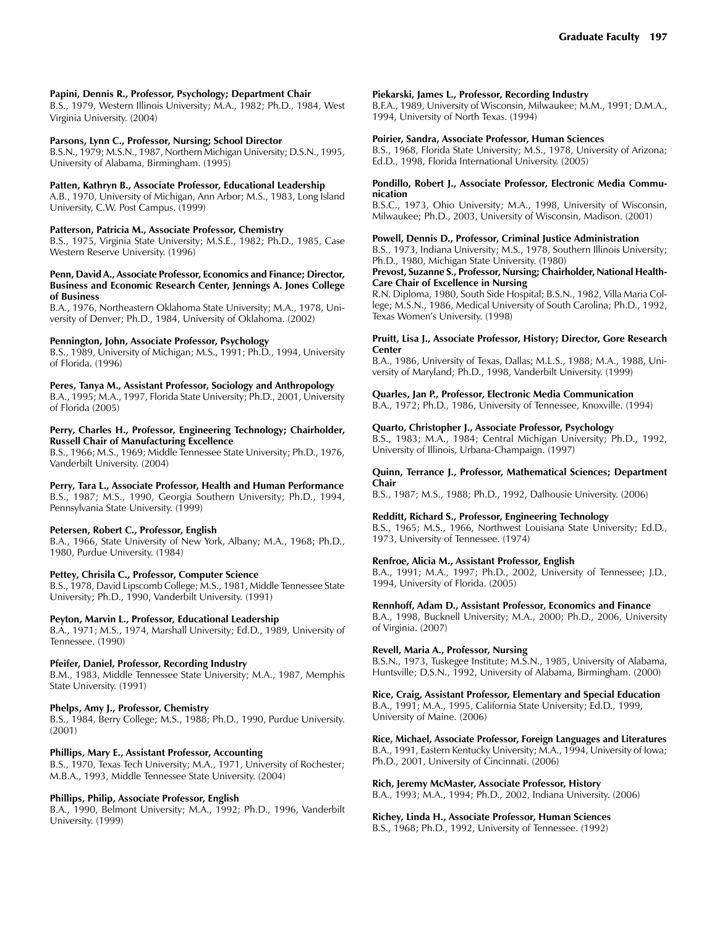### **Papini, Dennis R., Professor, Psychology; Department Chair**

B.S., 1979, Western Illinois University; M.A., 1982; Ph.D., 1984, West Virginia University. (2004)

### **Parsons, Lynn C., Professor, Nursing; School Director**

B.S.N., 1979; M.S.N., 1987, Northern Michigan University; D.S.N., 1995, University of Alabama, Birmingham. (1995)

### **Patten, Kathryn B., Associate Professor, Educational Leadership**

A.B., 1970, University of Michigan, Ann Arbor; M.S., 1983, Long Island University, C.W. Post Campus. (1999)

### **Patterson, Patricia M., Associate Professor, Chemistry**

B.S., 1975, Virginia State University; M.S.E., 1982; Ph.D., 1985, Case Western Reserve University. (1996)

#### **Penn, David A., Associate Professor, Economics and Finance; Director, Business and Economic Research Center, Jennings A. Jones College of Business**

B.A., 1976, Northeastern Oklahoma State University; M.A., 1978, University of Denver; Ph.D., 1984, University of Oklahoma. (2002)

### **Pennington, John, Associate Professor, Psychology**

B.S., 1989, University of Michigan; M.S., 1991; Ph.D., 1994, University of Florida. (1996)

### **Peres, Tanya M., Assistant Professor, Sociology and Anthropology**

B.A., 1995; M.A., 1997, Florida State University; Ph.D., 2001, University of Florida (2005)

### **Perry, Charles H., Professor, Engineering Technology; Chairholder, Russell Chair of Manufacturing Excellence**

B.S., 1966; M.S., 1969; Middle Tennessee State University; Ph.D., 1976, Vanderbilt University. (2004)

# **Perry, Tara L., Associate Professor, Health and Human Performance**

B.S., 1987; M.S., 1990, Georgia Southern University; Ph.D., 1994, Pennsylvania State University. (1999)

### **Petersen, Robert C., Professor, English**

B.A., 1966, State University of New York, Albany; M.A., 1968; Ph.D., 1980, Purdue University. (1984)

### **Pettey, Chrisila C., Professor, Computer Science**

B.S., 1978, David Lipscomb College; M.S., 1981, Middle Tennessee State University; Ph.D., 1990, Vanderbilt University. (1991)

### **Peyton, Marvin L., Professor, Educational Leadership**

B.A., 1971; M.S., 1974, Marshall University; Ed.D., 1989, University of Tennessee. (1990)

### **Pfeifer, Daniel, Professor, Recording Industry**

B.M., 1983, Middle Tennessee State University; M.A., 1987, Memphis State University. (1991)

### **Phelps, Amy J., Professor, Chemistry**

B.S., 1984, Berry College; M.S., 1988; Ph.D., 1990, Purdue University. (2001)

### **Phillips, Mary E., Assistant Professor, Accounting**

B.S., 1970, Texas Tech University; M.A., 1971, University of Rochester; M.B.A., 1993, Middle Tennessee State University. (2004)

### **Phillips, Philip, Associate Professor, English**

B.A., 1990, Belmont University; M.A., 1992; Ph.D., 1996, Vanderbilt University. (1999)

### **Piekarski, James L., Professor, Recording Industry**

B.F.A., 1989, University of Wisconsin, Milwaukee; M.M., 1991; D.M.A., 1994, University of North Texas. (1994)

### **Poirier, Sandra, Associate Professor, Human Sciences**

B.S., 1968, Florida State University; M.S., 1978, University of Arizona; Ed.D., 1998, Florida International University. (2005)

#### **Pondillo, Robert J., Associate Professor, Electronic Media Communication**

B.S.C., 1973, Ohio University; M.A., 1998, University of Wisconsin, Milwaukee; Ph.D., 2003, University of Wisconsin, Madison. (2001)

### **Powell, Dennis D., Professor, Criminal Justice Administration**

B.S., 1973, Indiana University; M.S., 1978, Southern Illinois University; Ph.D., 1980, Michigan State University. (1980)

#### **Prevost, Suzanne S., Professor, Nursing; Chairholder, National Health-Care Chair of Excellence in Nursing**

R.N. Diploma, 1980, South Side Hospital; B.S.N., 1982, Villa Maria College; M.S.N., 1986, Medical University of South Carolina; Ph.D., 1992, Texas Women's University. (1998)

#### **Pruitt, Lisa J., Associate Professor, History; Director, Gore Research Center**

B.A., 1986, University of Texas, Dallas; M.L.S., 1988; M.A., 1988, University of Maryland; Ph.D., 1998, Vanderbilt University. (1999)

### **Quarles, Jan P., Professor, Electronic Media Communication**

B.A., 1972; Ph.D., 1986, University of Tennessee, Knoxville. (1994)

### **Quarto, Christopher J., Associate Professor, Psychology**

B.S., 1983; M.A., 1984; Central Michigan University; Ph.D., 1992, University of Illinois, Urbana-Champaign. (1997)

#### **Quinn, Terrance J., Professor, Mathematical Sciences; Department Chair**

B.S., 1987; M.S., 1988; Ph.D., 1992, Dalhousie University. (2006)

### **Redditt, Richard S., Professor, Engineering Technology**

B.S., 1965; M.S., 1966, Northwest Louisiana State University; Ed.D., 1973, University of Tennessee. (1974)

### **Renfroe, Alicia M., Assistant Professor, English**

B.A., 1991; M.A., 1997; Ph.D., 2002, University of Tennessee; J.D., 1994, University of Florida. (2005)

### **Rennhoff, Adam D., Assistant Professor, Economics and Finance**

B.A., 1998, Bucknell University; M.A., 2000; Ph.D., 2006, University of Virginia. (2007)

### **Revell, Maria A., Professor, Nursing**

B.S.N., 1973, Tuskegee Institute; M.S.N., 1985, University of Alabama, Huntsville; D.S.N., 1992, University of Alabama, Birmingham. (2000)

### **Rice, Craig, Assistant Professor, Elementary and Special Education**

B.A., 1991; M.A., 1995, California State University; Ed.D., 1999, University of Maine. (2006)

# **Rice, Michael, Associate Professor, Foreign Languages and Literatures**

B.A., 1991, Eastern Kentucky University; M.A., 1994, University of Iowa; Ph.D., 2001, University of Cincinnati. (2006)

#### **Rich, Jeremy McMaster, Associate Professor, History**

B.A., 1993; M.A., 1994; Ph.D., 2002, Indiana University. (2006)

### **Richey, Linda H., Associate Professor, Human Sciences**

B.S., 1968; Ph.D., 1992, University of Tennessee. (1992)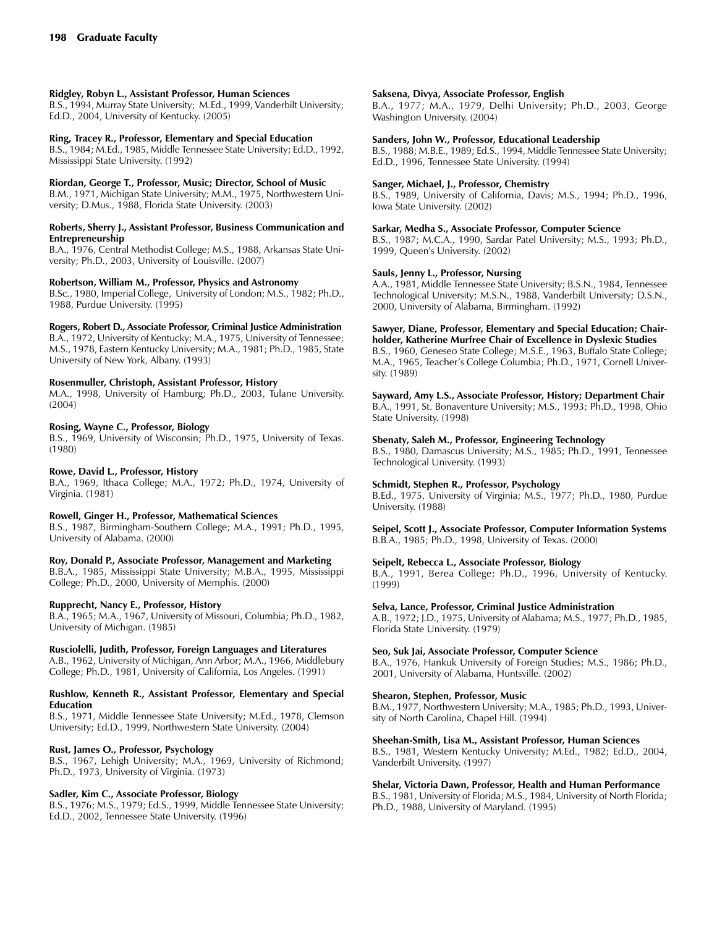### **Ridgley, Robyn L., Assistant Professor, Human Sciences**

B.S., 1994, Murray State University; M.Ed., 1999, Vanderbilt University; Ed.D., 2004, University of Kentucky. (2005)

### **Ring, Tracey R., Professor, Elementary and Special Education**

B.S., 1984; M.Ed., 1985, Middle Tennessee State University; Ed.D., 1992, Mississippi State University. (1992)

### **Riordan, George T., Professor, Music; Director, School of Music**

B.M., 1971, Michigan State University; M.M., 1975, Northwestern University; D.Mus., 1988, Florida State University. (2003)

#### **Roberts, Sherry J., Assistant Professor, Business Communication and Entrepreneurship**

B.A., 1976, Central Methodist College; M.S., 1988, Arkansas State University; Ph.D., 2003, University of Louisville. (2007)

### **Robertson, William M., Professor, Physics and Astronomy**

B.Sc., 1980, Imperial College, University of London; M.S., 1982; Ph.D., 1988, Purdue University. (1995)

**Rogers, Robert D., Associate Professor, Criminal Justice Administration**

B.A., 1972, University of Kentucky; M.A., 1975, University of Tennessee; M.S., 1978, Eastern Kentucky University; M.A., 1981; Ph.D., 1985, State University of New York, Albany. (1993)

### **Rosenmuller, Christoph, Assistant Professor, History**

M.A., 1998, University of Hamburg; Ph.D., 2003, Tulane University. (2004)

### **Rosing, Wayne C., Professor, Biology**

B.S., 1969, University of Wisconsin; Ph.D., 1975, University of Texas. (1980)

### **Rowe, David L., Professor, History**

B.A., 1969, Ithaca College; M.A., 1972; Ph.D., 1974, University of Virginia. (1981)

### **Rowell, Ginger H., Professor, Mathematical Sciences**

B.S., 1987, Birmingham-Southern College; M.A., 1991; Ph.D., 1995, University of Alabama. (2000)

### **Roy, Donald P., Associate Professor, Management and Marketing**

B.B.A., 1985, Mississippi State University; M.B.A., 1995, Mississippi College; Ph.D., 2000, University of Memphis. (2000)

### **Rupprecht, Nancy E., Professor, History**

B.A., 1965; M.A., 1967, University of Missouri, Columbia; Ph.D., 1982, University of Michigan. (1985)

### **Rusciolelli, Judith, Professor, Foreign Languages and Literatures**

A.B., 1962, University of Michigan, Ann Arbor; M.A., 1966, Middlebury College; Ph.D., 1981, University of California, Los Angeles. (1991)

#### **Rushlow, Kenneth R., Assistant Professor, Elementary and Special Education**

B.S., 1971, Middle Tennessee State University; M.Ed., 1978, Clemson University; Ed.D., 1999, Northwestern State University. (2004)

### **Rust, James O., Professor, Psychology**

B.S., 1967, Lehigh University; M.A., 1969, University of Richmond; Ph.D., 1973, University of Virginia. (1973)

### **Sadler, Kim C., Associate Professor, Biology**

B.S., 1976; M.S., 1979; Ed.S., 1999, Middle Tennessee State University; Ed.D., 2002, Tennessee State University. (1996)

### **Saksena, Divya, Associate Professor, English**

B.A., 1977; M.A., 1979, Delhi University; Ph.D., 2003, George Washington University. (2004)

### **Sanders, John W., Professor, Educational Leadership**

B.S., 1988; M.B.E., 1989; Ed.S., 1994, Middle Tennessee State University; Ed.D., 1996, Tennessee State University. (1994)

### **Sanger, Michael, J., Professor, Chemistry**

B.S., 1989, University of California, Davis; M.S., 1994; Ph.D., 1996, Iowa State University. (2002)

### **Sarkar, Medha S., Associate Professor, Computer Science**

B.S., 1987; M.C.A., 1990, Sardar Patel University; M.S., 1993; Ph.D., 1999, Queen's University. (2002)

### **Sauls, Jenny L., Professor, Nursing**

A.A., 1981, Middle Tennessee State University; B.S.N., 1984, Tennessee Technological University; M.S.N., 1988, Vanderbilt University; D.S.N., 2000, University of Alabama, Birmingham. (1992)

# **Sawyer, Diane, Professor, Elementary and Special Education; Chair-**

**holder, Katherine Murfree Chair of Excellence in Dyslexic Studies** B.S., 1960, Geneseo State College; M.S.E., 1963, Buffalo State College; M.A., 1965, Teacher's College Columbia; Ph.D., 1971, Cornell University. (1989)

### **Sayward, Amy L.S., Associate Professor, History; Department Chair**

B.A., 1991, St. Bonaventure University; M.S., 1993; Ph.D., 1998, Ohio State University. (1998)

### **Sbenaty, Saleh M., Professor, Engineering Technology**

B.S., 1980, Damascus University; M.S., 1985; Ph.D., 1991, Tennessee Technological University. (1993)

### **Schmidt, Stephen R., Professor, Psychology**

B.Ed., 1975, University of Virginia; M.S., 1977; Ph.D., 1980, Purdue University. (1988)

#### **Seipel, Scott J., Associate Professor, Computer Information Systems** B.B.A., 1985; Ph.D., 1998, University of Texas. (2000)

### **Seipelt, Rebecca L., Associate Professor, Biology**

B.A., 1991, Berea College; Ph.D., 1996, University of Kentucky. (1999)

### **Selva, Lance, Professor, Criminal Justice Administration**

A.B., 1972; J.D., 1975, University of Alabama; M.S., 1977; Ph.D., 1985, Florida State University. (1979)

### **Seo, Suk Jai, Associate Professor, Computer Science**

B.A., 1976, Hankuk University of Foreign Studies; M.S., 1986; Ph.D., 2001, University of Alabama, Huntsville. (2002)

### **Shearon, Stephen, Professor, Music**

B.M., 1977, Northwestern University; M.A., 1985; Ph.D., 1993, University of North Carolina, Chapel Hill. (1994)

### **Sheehan-Smith, Lisa M., Assistant Professor, Human Sciences**

B.S., 1981, Western Kentucky University; M.Ed., 1982; Ed.D., 2004, Vanderbilt University. (1997)

### **Shelar, Victoria Dawn, Professor, Health and Human Performance**

B.S., 1981, University of Florida; M.S., 1984, University of North Florida; Ph.D., 1988, University of Maryland. (1995)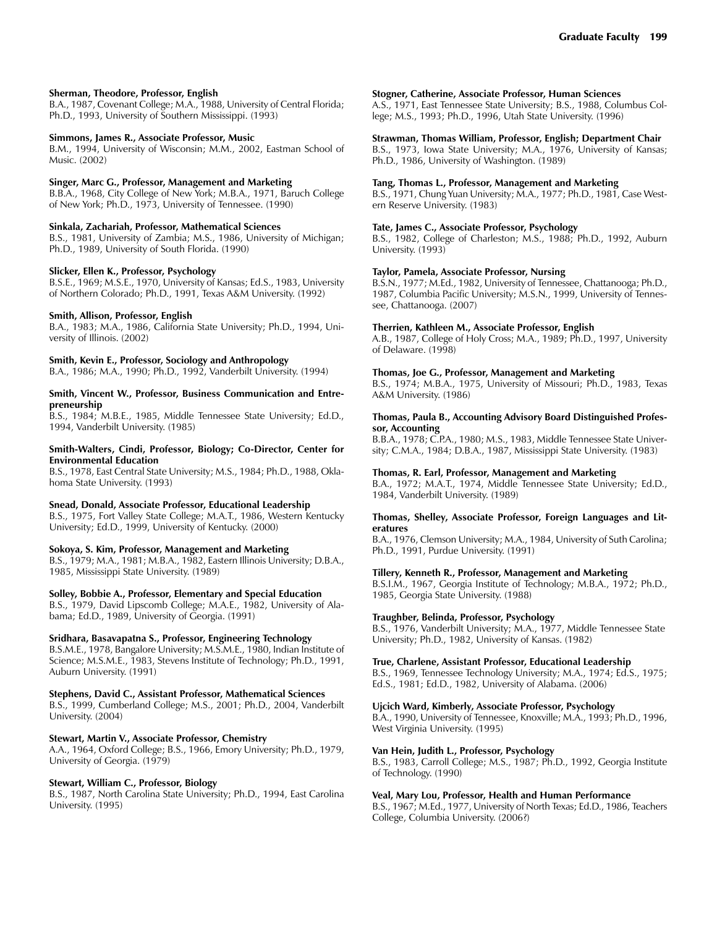### **Sherman, Theodore, Professor, English**

B.A., 1987, Covenant College; M.A., 1988, University of Central Florida; Ph.D., 1993, University of Southern Mississippi. (1993)

#### **Simmons, James R., Associate Professor, Music**

B.M., 1994, University of Wisconsin; M.M., 2002, Eastman School of Music. (2002)

#### **Singer, Marc G., Professor, Management and Marketing**

B.B.A., 1968, City College of New York; M.B.A., 1971, Baruch College of New York; Ph.D., 1973, University of Tennessee. (1990)

#### **Sinkala, Zachariah, Professor, Mathematical Sciences**

B.S., 1981, University of Zambia; M.S., 1986, University of Michigan; Ph.D., 1989, University of South Florida. (1990)

#### **Slicker, Ellen K., Professor, Psychology**

B.S.E., 1969; M.S.E., 1970, University of Kansas; Ed.S., 1983, University of Northern Colorado; Ph.D., 1991, Texas A&M University. (1992)

#### **Smith, Allison, Professor, English**

B.A., 1983; M.A., 1986, California State University; Ph.D., 1994, University of Illinois. (2002)

### **Smith, Kevin E., Professor, Sociology and Anthropology**

B.A., 1986; M.A., 1990; Ph.D., 1992, Vanderbilt University. (1994)

### **Smith, Vincent W., Professor, Business Communication and Entrepreneurship**

B.S., 1984; M.B.E., 1985, Middle Tennessee State University; Ed.D., 1994, Vanderbilt University. (1985)

#### **Smith-Walters, Cindi, Professor, Biology; Co-Director, Center for Environmental Education**

B.S., 1978, East Central State University; M.S., 1984; Ph.D., 1988, Oklahoma State University. (1993)

#### **Snead, Donald, Associate Professor, Educational Leadership**

B.S., 1975, Fort Valley State College; M.A.T., 1986, Western Kentucky University; Ed.D., 1999, University of Kentucky. (2000)

#### **Sokoya, S. Kim, Professor, Management and Marketing**

B.S., 1979; M.A., 1981; M.B.A., 1982, Eastern Illinois University; D.B.A., 1985, Mississippi State University. (1989)

#### **Solley, Bobbie A., Professor, Elementary and Special Education**

B.S., 1979, David Lipscomb College; M.A.E., 1982, University of Alabama; Ed.D., 1989, University of Georgia. (1991)

### **Sridhara, Basavapatna S., Professor, Engineering Technology**

B.S.M.E., 1978, Bangalore University; M.S.M.E., 1980, Indian Institute of Science; M.S.M.E., 1983, Stevens Institute of Technology; Ph.D., 1991, Auburn University. (1991)

#### **Stephens, David C., Assistant Professor, Mathematical Sciences**

B.S., 1999, Cumberland College; M.S., 2001; Ph.D., 2004, Vanderbilt University. (2004)

### **Stewart, Martin V., Associate Professor, Chemistry**

A.A., 1964, Oxford College; B.S., 1966, Emory University; Ph.D., 1979, University of Georgia. (1979)

#### **Stewart, William C., Professor, Biology**

B.S., 1987, North Carolina State University; Ph.D., 1994, East Carolina University. (1995)

#### **Stogner, Catherine, Associate Professor, Human Sciences**

A.S., 1971, East Tennessee State University; B.S., 1988, Columbus College; M.S., 1993; Ph.D., 1996, Utah State University. (1996)

### **Strawman, Thomas William, Professor, English; Department Chair**

B.S., 1973, Iowa State University; M.A., 1976, University of Kansas; Ph.D., 1986, University of Washington. (1989)

#### **Tang, Thomas L., Professor, Management and Marketing**

B.S., 1971, Chung Yuan University; M.A., 1977; Ph.D., 1981, Case Western Reserve University. (1983)

#### **Tate, James C., Associate Professor, Psychology**

B.S., 1982, College of Charleston; M.S., 1988; Ph.D., 1992, Auburn University. (1993)

#### **Taylor, Pamela, Associate Professor, Nursing**

B.S.N., 1977; M.Ed., 1982, University of Tennessee, Chattanooga; Ph.D., 1987, Columbia Pacific University; M.S.N., 1999, University of Tennessee, Chattanooga. (2007)

#### **Therrien, Kathleen M., Associate Professor, English**

A.B., 1987, College of Holy Cross; M.A., 1989; Ph.D., 1997, University of Delaware. (1998)

#### **Thomas, Joe G., Professor, Management and Marketing**

B.S., 1974; M.B.A., 1975, University of Missouri; Ph.D., 1983, Texas A&M University. (1986)

#### **Thomas, Paula B., Accounting Advisory Board Distinguished Professor, Accounting**

B.B.A., 1978; C.P.A., 1980; M.S., 1983, Middle Tennessee State University; C.M.A., 1984; D.B.A., 1987, Mississippi State University. (1983)

#### **Thomas, R. Earl, Professor, Management and Marketing**

B.A., 1972; M.A.T., 1974, Middle Tennessee State University; Ed.D., 1984, Vanderbilt University. (1989)

#### **Thomas, Shelley, Associate Professor, Foreign Languages and Literatures**

B.A., 1976, Clemson University; M.A., 1984, University of Suth Carolina; Ph.D., 1991, Purdue University. (1991)

#### **Tillery, Kenneth R., Professor, Management and Marketing**

B.S.I.M., 1967, Georgia Institute of Technology; M.B.A., 1972; Ph.D., 1985, Georgia State University. (1988)

#### **Traughber, Belinda, Professor, Psychology**

B.S., 1976, Vanderbilt University; M.A., 1977, Middle Tennessee State University; Ph.D., 1982, University of Kansas. (1982)

#### **True, Charlene, Assistant Professor, Educational Leadership**

B.S., 1969, Tennessee Technology University; M.A., 1974; Ed.S., 1975; Ed.S., 1981; Ed.D., 1982, University of Alabama. (2006)

#### **Ujcich Ward, Kimberly, Associate Professor, Psychology**

B.A., 1990, University of Tennessee, Knoxville; M.A., 1993; Ph.D., 1996, West Virginia University. (1995)

#### **Van Hein, Judith L., Professor, Psychology**

B.S., 1983, Carroll College; M.S., 1987; Ph.D., 1992, Georgia Institute of Technology. (1990)

#### **Veal, Mary Lou, Professor, Health and Human Performance**

B.S., 1967; M.Ed., 1977, University of North Texas; Ed.D., 1986, Teachers College, Columbia University. (2006?)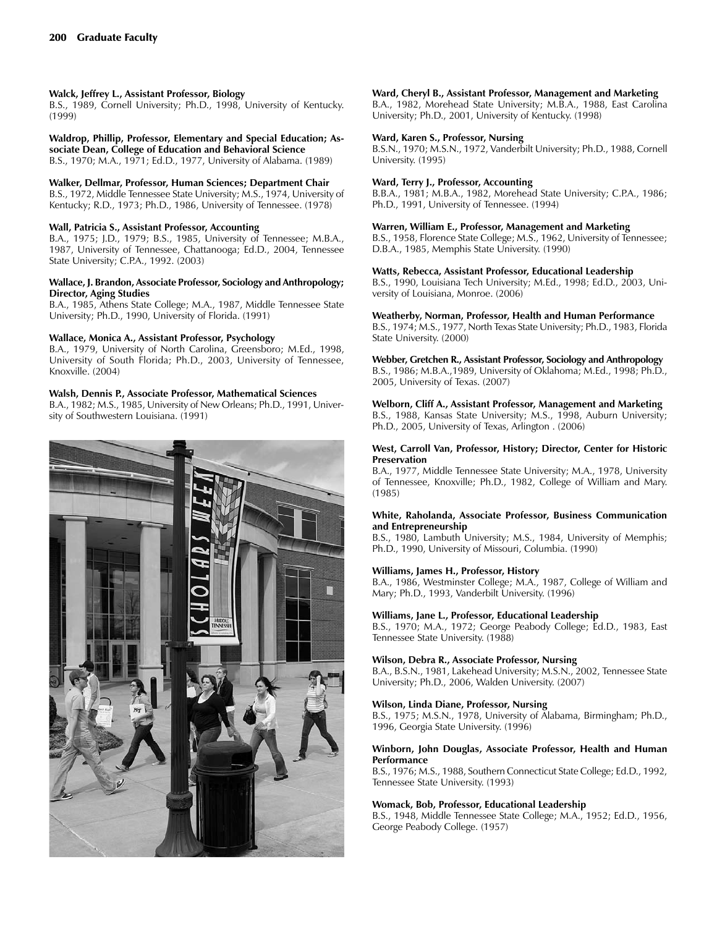### **Walck, Jeffrey L., Assistant Professor, Biology**

B.S., 1989, Cornell University; Ph.D., 1998, University of Kentucky. (1999)

**Waldrop, Phillip, Professor, Elementary and Special Education; Associate Dean, College of Education and Behavioral Science**

B.S., 1970; M.A., 1971; Ed.D., 1977, University of Alabama. (1989)

### **Walker, Dellmar, Professor, Human Sciences; Department Chair**

B.S., 1972, Middle Tennessee State University; M.S., 1974, University of Kentucky; R.D., 1973; Ph.D., 1986, University of Tennessee. (1978)

### **Wall, Patricia S., Assistant Professor, Accounting**

B.A., 1975; J.D., 1979; B.S., 1985, University of Tennessee; M.B.A., 1987, University of Tennessee, Chattanooga; Ed.D., 2004, Tennessee State University; C.P.A., 1992. (2003)

### **Wallace, J. Brandon, Associate Professor, Sociology and Anthropology; Director, Aging Studies**

B.A., 1985, Athens State College; M.A., 1987, Middle Tennessee State University; Ph.D., 1990, University of Florida. (1991)

### **Wallace, Monica A., Assistant Professor, Psychology**

B.A., 1979, University of North Carolina, Greensboro; M.Ed., 1998, University of South Florida; Ph.D., 2003, University of Tennessee, Knoxville. (2004)

### **Walsh, Dennis P., Associate Professor, Mathematical Sciences**

B.A., 1982; M.S., 1985, University of New Orleans; Ph.D., 1991, University of Southwestern Louisiana. (1991)



### **Ward, Cheryl B., Assistant Professor, Management and Marketing**

B.A., 1982, Morehead State University; M.B.A., 1988, East Carolina University; Ph.D., 2001, University of Kentucky. (1998)

### **Ward, Karen S., Professor, Nursing**

B.S.N., 1970; M.S.N., 1972, Vanderbilt University; Ph.D., 1988, Cornell University. (1995)

### **Ward, Terry J., Professor, Accounting**

B.B.A., 1981; M.B.A., 1982, Morehead State University; C.P.A., 1986; Ph.D., 1991, University of Tennessee. (1994)

### **Warren, William E., Professor, Management and Marketing**

B.S., 1958, Florence State College; M.S., 1962, University of Tennessee; D.B.A., 1985, Memphis State University. (1990)

### **Watts, Rebecca, Assistant Professor, Educational Leadership**

B.S., 1990, Louisiana Tech University; M.Ed., 1998; Ed.D., 2003, University of Louisiana, Monroe. (2006)

### **Weatherby, Norman, Professor, Health and Human Performance**

B.S., 1974; M.S., 1977, North Texas State University; Ph.D., 1983, Florida State University. (2000)

### **Webber, Gretchen R., Assistant Professor, Sociology and Anthropology**

B.S., 1986; M.B.A.,1989, University of Oklahoma; M.Ed., 1998; Ph.D., 2005, University of Texas. (2007)

### **Welborn, Cliff A., Assistant Professor, Management and Marketing**

B.S., 1988, Kansas State University; M.S., 1998, Auburn University; Ph.D., 2005, University of Texas, Arlington . (2006)

### **West, Carroll Van, Professor, History; Director, Center for Historic Preservation**

B.A., 1977, Middle Tennessee State University; M.A., 1978, University of Tennessee, Knoxville; Ph.D., 1982, College of William and Mary. (1985)

### **White, Raholanda, Associate Professor, Business Communication and Entrepreneurship**

B.S., 1980, Lambuth University; M.S., 1984, University of Memphis; Ph.D., 1990, University of Missouri, Columbia. (1990)

### **Williams, James H., Professor, History**

B.A., 1986, Westminster College; M.A., 1987, College of William and Mary; Ph.D., 1993, Vanderbilt University. (1996)

### **Williams, Jane L., Professor, Educational Leadership**

B.S., 1970; M.A., 1972; George Peabody College; Ed.D., 1983, East Tennessee State University. (1988)

### **Wilson, Debra R., Associate Professor, Nursing**

B.A., B.S.N., 1981, Lakehead University; M.S.N., 2002, Tennessee State University; Ph.D., 2006, Walden University. (2007)

### **Wilson, Linda Diane, Professor, Nursing**

B.S., 1975; M.S.N., 1978, University of Alabama, Birmingham; Ph.D., 1996, Georgia State University. (1996)

#### **Winborn, John Douglas, Associate Professor, Health and Human Performance**

B.S., 1976; M.S., 1988, Southern Connecticut State College; Ed.D., 1992, Tennessee State University. (1993)

### **Womack, Bob, Professor, Educational Leadership**

B.S., 1948, Middle Tennessee State College; M.A., 1952; Ed.D., 1956, George Peabody College. (1957)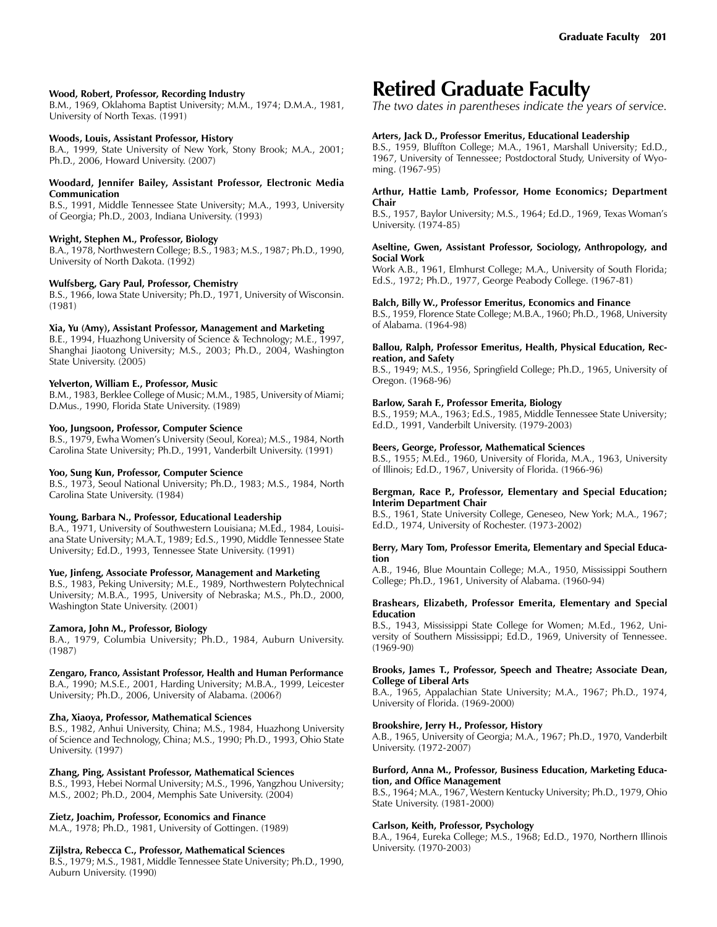### **Wood, Robert, Professor, Recording Industry**

B.M., 1969, Oklahoma Baptist University; M.M., 1974; D.M.A., 1981, University of North Texas. (1991)

#### **Woods, Louis, Assistant Professor, History**

B.A., 1999, State University of New York, Stony Brook; M.A., 2001; Ph.D., 2006, Howard University. (2007)

#### **Woodard, Jennifer Bailey, Assistant Professor, Electronic Media Communication**

B.S., 1991, Middle Tennessee State University; M.A., 1993, University of Georgia; Ph.D., 2003, Indiana University. (1993)

### **Wright, Stephen M., Professor, Biology**

B.A., 1978, Northwestern College; B.S., 1983; M.S., 1987; Ph.D., 1990, University of North Dakota. (1992)

### **Wulfsberg, Gary Paul, Professor, Chemistry**

B.S., 1966, Iowa State University; Ph.D., 1971, University of Wisconsin. (1981)

### **Xia, Yu (Amy), Assistant Professor, Management and Marketing**

B.E., 1994, Huazhong University of Science & Technology; M.E., 1997, Shanghai Jiaotong University; M.S., 2003; Ph.D., 2004, Washington State University. (2005)

### **Yelverton, William E., Professor, Music**

B.M., 1983, Berklee College of Music; M.M., 1985, University of Miami; D.Mus., 1990, Florida State University. (1989)

#### **Yoo, Jungsoon, Professor, Computer Science**

B.S., 1979, Ewha Women's University (Seoul, Korea); M.S., 1984, North Carolina State University; Ph.D., 1991, Vanderbilt University. (1991)

### **Yoo, Sung Kun, Professor, Computer Science**

B.S., 1973, Seoul National University; Ph.D., 1983; M.S., 1984, North Carolina State University. (1984)

### **Young, Barbara N., Professor, Educational Leadership**

B.A., 1971, University of Southwestern Louisiana; M.Ed., 1984, Louisiana State University; M.A.T., 1989; Ed.S., 1990, Middle Tennessee State University; Ed.D., 1993, Tennessee State University. (1991)

### **Yue, Jinfeng, Associate Professor, Management and Marketing**

B.S., 1983, Peking University; M.E., 1989, Northwestern Polytechnical University; M.B.A., 1995, University of Nebraska; M.S., Ph.D., 2000, Washington State University. (2001)

#### **Zamora, John M., Professor, Biology**

B.A., 1979, Columbia University; Ph.D., 1984, Auburn University. (1987)

### **Zengaro, Franco, Assistant Professor, Health and Human Performance**

B.A., 1990; M.S.E., 2001, Harding University; M.B.A., 1999, Leicester University; Ph.D., 2006, University of Alabama. (2006?)

### **Zha, Xiaoya, Professor, Mathematical Sciences**

B.S., 1982, Anhui University, China; M.S., 1984, Huazhong University of Science and Technology, China; M.S., 1990; Ph.D., 1993, Ohio State University. (1997)

### **Zhang, Ping, Assistant Professor, Mathematical Sciences**

B.S., 1993, Hebei Normal University; M.S., 1996, Yangzhou University; M.S., 2002; Ph.D., 2004, Memphis Sate University. (2004)

### **Zietz, Joachim, Professor, Economics and Finance**

M.A., 1978; Ph.D., 1981, University of Gottingen. (1989)

#### **Zijlstra, Rebecca C., Professor, Mathematical Sciences**

B.S., 1979; M.S., 1981, Middle Tennessee State University; Ph.D., 1990, Auburn University. (1990)

# **Retired Graduate Faculty**

*The two dates in parentheses indicate the years of service.*

### **Arters, Jack D., Professor Emeritus, Educational Leadership**

B.S., 1959, Bluffton College; M.A., 1961, Marshall University; Ed.D., 1967, University of Tennessee; Postdoctoral Study, University of Wyoming. (1967-95)

#### **Arthur, Hattie Lamb, Professor, Home Economics; Department Chair**

B.S., 1957, Baylor University; M.S., 1964; Ed.D., 1969, Texas Woman's University. (1974-85)

#### **Aseltine, Gwen, Assistant Professor, Sociology, Anthropology, and Social Work**

Work A.B., 1961, Elmhurst College; M.A., University of South Florida; Ed.S., 1972; Ph.D., 1977, George Peabody College. (1967-81)

#### **Balch, Billy W., Professor Emeritus, Economics and Finance**

B.S., 1959, Florence State College; M.B.A., 1960; Ph.D., 1968, University of Alabama. (1964-98)

#### **Ballou, Ralph, Professor Emeritus, Health, Physical Education, Recreation, and Safety**

B.S., 1949; M.S., 1956, Springfield College; Ph.D., 1965, University of Oregon. (1968-96)

### **Barlow, Sarah F., Professor Emerita, Biology**

B.S., 1959; M.A., 1963; Ed.S., 1985, Middle Tennessee State University; Ed.D., 1991, Vanderbilt University. (1979-2003)

#### **Beers, George, Professor, Mathematical Sciences**

B.S., 1955; M.Ed., 1960, University of Florida, M.A., 1963, University of Illinois; Ed.D., 1967, University of Florida. (1966-96)

#### **Bergman, Race P., Professor, Elementary and Special Education; Interim Department Chair**

B.S., 1961, State University College, Geneseo, New York; M.A., 1967; Ed.D., 1974, University of Rochester. (1973-2002)

#### **Berry, Mary Tom, Professor Emerita, Elementary and Special Education**

A.B., 1946, Blue Mountain College; M.A., 1950, Mississippi Southern College; Ph.D., 1961, University of Alabama. (1960-94)

#### **Brashears, Elizabeth, Professor Emerita, Elementary and Special Education**

B.S., 1943, Mississippi State College for Women; M.Ed., 1962, University of Southern Mississippi; Ed.D., 1969, University of Tennessee. (1969-90)

### **Brooks, James T., Professor, Speech and Theatre; Associate Dean, College of Liberal Arts**

B.A., 1965, Appalachian State University; M.A., 1967; Ph.D., 1974, University of Florida. (1969-2000)

#### **Brookshire, Jerry H., Professor, History**

A.B., 1965, University of Georgia; M.A., 1967; Ph.D., 1970, Vanderbilt University. (1972-2007)

#### **Burford, Anna M., Professor, Business Education, Marketing Education, and Office Management**

B.S., 1964; M.A., 1967, Western Kentucky University; Ph.D., 1979, Ohio State University. (1981-2000)

#### **Carlson, Keith, Professor, Psychology**

B.A., 1964, Eureka College; M.S., 1968; Ed.D., 1970, Northern Illinois University. (1970-2003)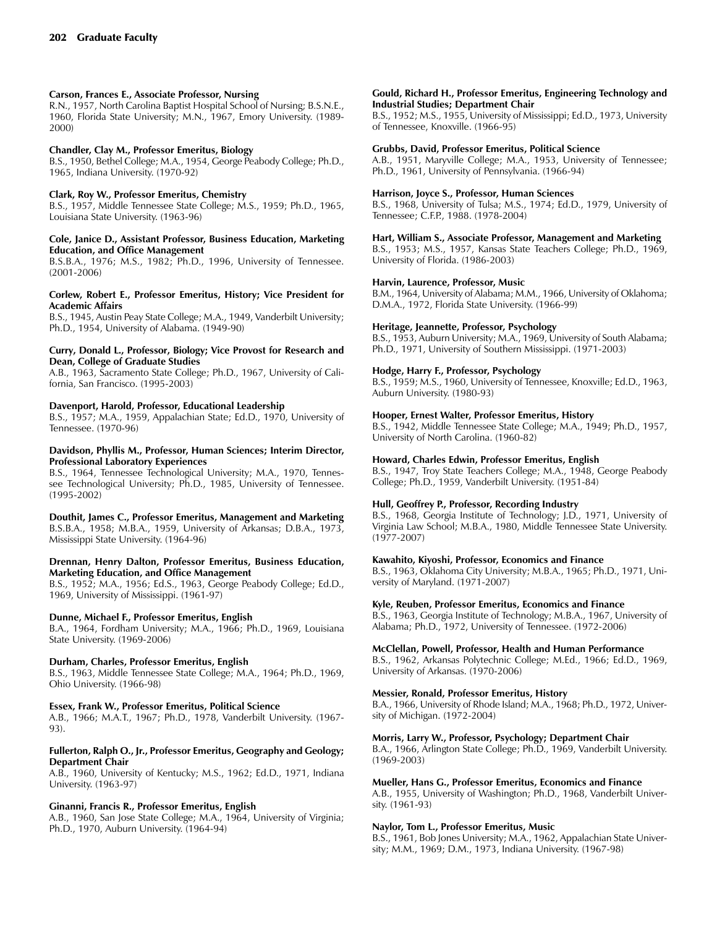### **Carson, Frances E., Associate Professor, Nursing**

R.N., 1957, North Carolina Baptist Hospital School of Nursing; B.S.N.E., 1960, Florida State University; M.N., 1967, Emory University. (1989-2000)

### **Chandler, Clay M., Professor Emeritus, Biology**

B.S., 1950, Bethel College; M.A., 1954, George Peabody College; Ph.D., 1965, Indiana University. (1970-92)

### **Clark, Roy W., Professor Emeritus, Chemistry**

B.S., 1957, Middle Tennessee State College; M.S., 1959; Ph.D., 1965, Louisiana State University. (1963-96)

#### **Cole, Janice D., Assistant Professor, Business Education, Marketing Education, and Office Management**

B.S.B.A., 1976; M.S., 1982; Ph.D., 1996, University of Tennessee. (2001-2006)

#### **Corlew, Robert E., Professor Emeritus, History; Vice President for Academic Affairs**

B.S., 1945, Austin Peay State College; M.A., 1949, Vanderbilt University; Ph.D., 1954, University of Alabama. (1949-90)

#### **Curry, Donald L., Professor, Biology; Vice Provost for Research and Dean, College of Graduate Studies**

A.B., 1963, Sacramento State College; Ph.D., 1967, University of California, San Francisco. (1995-2003)

### **Davenport, Harold, Professor, Educational Leadership**

B.S., 1957; M.A., 1959, Appalachian State; Ed.D., 1970, University of Tennessee. (1970-96)

#### **Davidson, Phyllis M., Professor, Human Sciences; Interim Director, Professional Laboratory Experiences**

B.S., 1964, Tennessee Technological University; M.A., 1970, Tennessee Technological University; Ph.D., 1985, University of Tennessee. (1995-2002)

### **Douthit, James C., Professor Emeritus, Management and Marketing**

B.S.B.A., 1958; M.B.A., 1959, University of Arkansas; D.B.A., 1973, Mississippi State University. (1964-96)

#### **Drennan, Henry Dalton, Professor Emeritus, Business Education, Marketing Education, and Office Management**

B.S., 1952; M.A., 1956; Ed.S., 1963, George Peabody College; Ed.D., 1969, University of Mississippi. (1961-97)

### **Dunne, Michael F., Professor Emeritus, English**

B.A., 1964, Fordham University; M.A., 1966; Ph.D., 1969, Louisiana State University. (1969-2006)

# **Durham, Charles, Professor Emeritus, English**

B.S., 1963, Middle Tennessee State College; M.A., 1964; Ph.D., 1969, Ohio University. (1966-98)

### **Essex, Frank W., Professor Emeritus, Political Science**

A.B., 1966; M.A.T., 1967; Ph.D., 1978, Vanderbilt University. (1967-93).

#### **Fullerton, Ralph O., Jr., Professor Emeritus, Geography and Geology; Department Chair**

A.B., 1960, University of Kentucky; M.S., 1962; Ed.D., 1971, Indiana University. (1963-97)

### **Ginanni, Francis R., Professor Emeritus, English**

A.B., 1960, San Jose State College; M.A., 1964, University of Virginia; Ph.D., 1970, Auburn University. (1964-94)

#### **Gould, Richard H., Professor Emeritus, Engineering Technology and Industrial Studies; Department Chair**

B.S., 1952; M.S., 1955, University of Mississippi; Ed.D., 1973, University of Tennessee, Knoxville. (1966-95)

### **Grubbs, David, Professor Emeritus, Political Science**

A.B., 1951, Maryville College; M.A., 1953, University of Tennessee; Ph.D., 1961, University of Pennsylvania. (1966-94)

#### **Harrison, Joyce S., Professor, Human Sciences**

B.S., 1968, University of Tulsa; M.S., 1974; Ed.D., 1979, University of Tennessee; C.F.P., 1988. (1978-2004)

#### **Hart, William S., Associate Professor, Management and Marketing**

B.S., 1953; M.S., 1957, Kansas State Teachers College; Ph.D., 1969, University of Florida. (1986-2003)

### **Harvin, Laurence, Professor, Music**

B.M., 1964, University of Alabama; M.M., 1966, University of Oklahoma; D.M.A., 1972, Florida State University. (1966-99)

### **Heritage, Jeannette, Professor, Psychology**

B.S., 1953, Auburn University; M.A., 1969, University of South Alabama; Ph.D., 1971, University of Southern Mississippi. (1971-2003)

# **Hodge, Harry F., Professor, Psychology**

B.S., 1959; M.S., 1960, University of Tennessee, Knoxville; Ed.D., 1963, Auburn University. (1980-93)

#### **Hooper, Ernest Walter, Professor Emeritus, History**

B.S., 1942, Middle Tennessee State College; M.A., 1949; Ph.D., 1957, University of North Carolina. (1960-82)

### **Howard, Charles Edwin, Professor Emeritus, English**

B.S., 1947, Troy State Teachers College; M.A., 1948, George Peabody College; Ph.D., 1959, Vanderbilt University. (1951-84)

### **Hull, Geoffrey P., Professor, Recording Industry**

B.S., 1968, Georgia Institute of Technology; J.D., 1971, University of Virginia Law School; M.B.A., 1980, Middle Tennessee State University. (1977-2007)

### **Kawahito, Kiyoshi, Professor, Economics and Finance**

B.S., 1963, Oklahoma City University; M.B.A., 1965; Ph.D., 1971, University of Maryland. (1971-2007)

### **Kyle, Reuben, Professor Emeritus, Economics and Finance**

B.S., 1963, Georgia Institute of Technology; M.B.A., 1967, University of Alabama; Ph.D., 1972, University of Tennessee. (1972-2006)

### **McClellan, Powell, Professor, Health and Human Performance**

B.S., 1962, Arkansas Polytechnic College; M.Ed., 1966; Ed.D., 1969, University of Arkansas. (1970-2006)

### **Messier, Ronald, Professor Emeritus, History**

B.A., 1966, University of Rhode Island; M.A., 1968; Ph.D., 1972, University of Michigan. (1972-2004)

### **Morris, Larry W., Professor, Psychology; Department Chair**

B.A., 1966, Arlington State College; Ph.D., 1969, Vanderbilt University. (1969-2003)

#### **Mueller, Hans G., Professor Emeritus, Economics and Finance**

A.B., 1955, University of Washington; Ph.D., 1968, Vanderbilt University. (1961-93)

### **Naylor, Tom L., Professor Emeritus, Music**

B.S., 1961, Bob Jones University; M.A., 1962, Appalachian State University; M.M., 1969; D.M., 1973, Indiana University. (1967-98)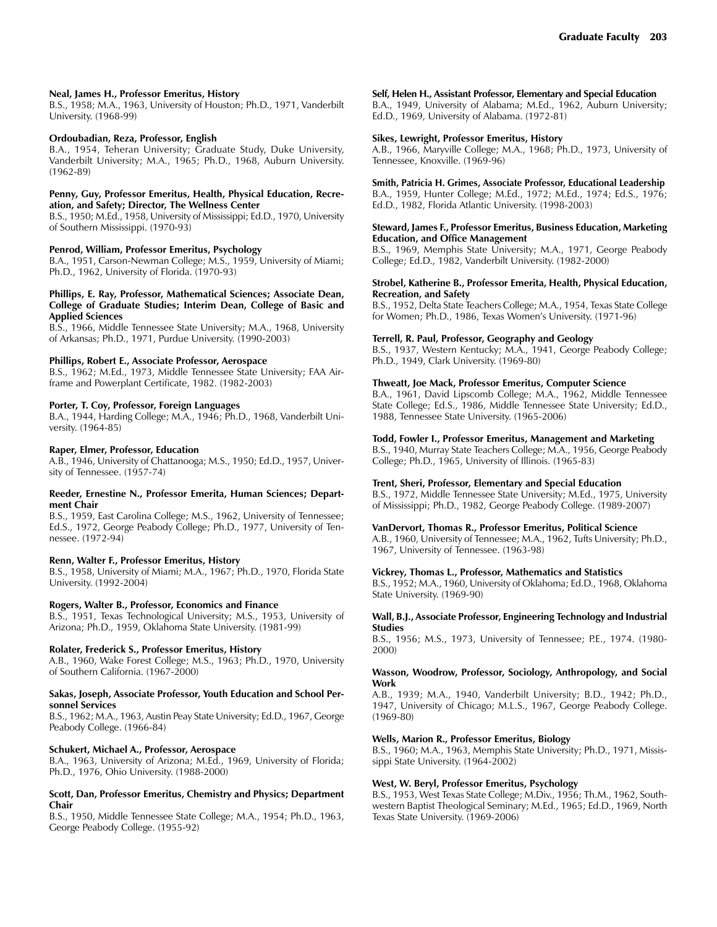#### **Neal, James H., Professor Emeritus, History**

B.S., 1958; M.A., 1963, University of Houston; Ph.D., 1971, Vanderbilt University. (1968-99)

#### **Ordoubadian, Reza, Professor, English**

B.A., 1954, Teheran University; Graduate Study, Duke University, Vanderbilt University; M.A., 1965; Ph.D., 1968, Auburn University. (1962-89)

#### **Penny, Guy, Professor Emeritus, Health, Physical Education, Recreation, and Safety; Director, The Wellness Center**

B.S., 1950; M.Ed., 1958, University of Mississippi; Ed.D., 1970, University of Southern Mississippi. (1970-93)

#### **Penrod, William, Professor Emeritus, Psychology**

B.A., 1951, Carson-Newman College; M.S., 1959, University of Miami; Ph.D., 1962, University of Florida. (1970-93)

#### **Phillips, E. Ray, Professor, Mathematical Sciences; Associate Dean, College of Graduate Studies; Interim Dean, College of Basic and Applied Sciences**

B.S., 1966, Middle Tennessee State University; M.A., 1968, University of Arkansas; Ph.D., 1971, Purdue University. (1990-2003)

#### **Phillips, Robert E., Associate Professor, Aerospace**

B.S., 1962; M.Ed., 1973, Middle Tennessee State University; FAA Airframe and Powerplant Certificate, 1982. (1982-2003)

#### **Porter, T. Coy, Professor, Foreign Languages**

B.A., 1944, Harding College; M.A., 1946; Ph.D., 1968, Vanderbilt University. (1964-85)

#### **Raper, Elmer, Professor, Education**

A.B., 1946, University of Chattanooga; M.S., 1950; Ed.D., 1957, University of Tennessee. (1957-74)

#### **Reeder, Ernestine N., Professor Emerita, Human Sciences; Department Chair**

B.S., 1959, East Carolina College; M.S., 1962, University of Tennessee; Ed.S., 1972, George Peabody College; Ph.D., 1977, University of Tennessee. (1972-94)

#### **Renn, Walter F., Professor Emeritus, History**

B.S., 1958, University of Miami; M.A., 1967; Ph.D., 1970, Florida State University. (1992-2004)

#### **Rogers, Walter B., Professor, Economics and Finance**

B.S., 1951, Texas Technological University; M.S., 1953, University of Arizona; Ph.D., 1959, Oklahoma State University. (1981-99)

#### **Rolater, Frederick S., Professor Emeritus, History**

A.B., 1960, Wake Forest College; M.S., 1963; Ph.D., 1970, University of Southern California. (1967-2000)

#### **Sakas, Joseph, Associate Professor, Youth Education and School Personnel Services**

B.S., 1962; M.A., 1963, Austin Peay State University; Ed.D., 1967, George Peabody College. (1966-84)

### **Schukert, Michael A., Professor, Aerospace**

B.A., 1963, University of Arizona; M.Ed., 1969, University of Florida; Ph.D., 1976, Ohio University. (1988-2000)

#### **Scott, Dan, Professor Emeritus, Chemistry and Physics; Department Chair**

B.S., 1950, Middle Tennessee State College; M.A., 1954; Ph.D., 1963, George Peabody College. (1955-92)

#### **Self, Helen H., Assistant Professor, Elementary and Special Education**

B.A., 1949, University of Alabama; M.Ed., 1962, Auburn University; Ed.D., 1969, University of Alabama. (1972-81)

#### **Sikes, Lewright, Professor Emeritus, History**

A.B., 1966, Maryville College; M.A., 1968; Ph.D., 1973, University of Tennessee, Knoxville. (1969-96)

#### **Smith, Patricia H. Grimes, Associate Professor, Educational Leadership** B.A., 1959, Hunter College; M.Ed., 1972; M.Ed., 1974; Ed.S., 1976; Ed.D., 1982, Florida Atlantic University. (1998-2003)

#### **Steward, James F., Professor Emeritus, Business Education, Marketing Education, and Office Management**

B.S., 1969, Memphis State University; M.A., 1971, George Peabody College; Ed.D., 1982, Vanderbilt University. (1982-2000)

#### **Strobel, Katherine B., Professor Emerita, Health, Physical Education, Recreation, and Safety**

B.S., 1952, Delta State Teachers College; M.A., 1954, Texas State College for Women; Ph.D., 1986, Texas Women's University. (1971-96)

#### **Terrell, R. Paul, Professor, Geography and Geology**

B.S., 1937, Western Kentucky; M.A., 1941, George Peabody College; Ph.D., 1949, Clark University. (1969-80)

#### **Thweatt, Joe Mack, Professor Emeritus, Computer Science**

B.A., 1961, David Lipscomb College; M.A., 1962, Middle Tennessee State College; Ed.S., 1986, Middle Tennessee State University; Ed.D., 1988, Tennessee State University. (1965-2006)

#### **Todd, Fowler I., Professor Emeritus, Management and Marketing**

B.S., 1940, Murray State Teachers College; M.A., 1956, George Peabody College; Ph.D., 1965, University of Illinois. (1965-83)

### **Trent, Sheri, Professor, Elementary and Special Education**

B.S., 1972, Middle Tennessee State University; M.Ed., 1975, University of Mississippi; Ph.D., 1982, George Peabody College. (1989-2007)

### **VanDervort, Thomas R., Professor Emeritus, Political Science**

A.B., 1960, University of Tennessee; M.A., 1962, Tufts University; Ph.D., 1967, University of Tennessee. (1963-98)

#### **Vickrey, Thomas L., Professor, Mathematics and Statistics**

B.S., 1952; M.A., 1960, University of Oklahoma; Ed.D., 1968, Oklahoma State University. (1969-90)

#### **Wall, B.J., Associate Professor, Engineering Technology and Industrial Studies**

B.S., 1956; M.S., 1973, University of Tennessee; P.E., 1974. (1980-2000)

#### **Wasson, Woodrow, Professor, Sociology, Anthropology, and Social Work**

A.B., 1939; M.A., 1940, Vanderbilt University; B.D., 1942; Ph.D., 1947, University of Chicago; M.L.S., 1967, George Peabody College. (1969-80)

### **Wells, Marion R., Professor Emeritus, Biology**

B.S., 1960; M.A., 1963, Memphis State University; Ph.D., 1971, Mississippi State University. (1964-2002)

#### **West, W. Beryl, Professor Emeritus, Psychology**

B.S., 1953, West Texas State College; M.Div., 1956; Th.M., 1962, Southwestern Baptist Theological Seminary; M.Ed., 1965; Ed.D., 1969, North Texas State University. (1969-2006)